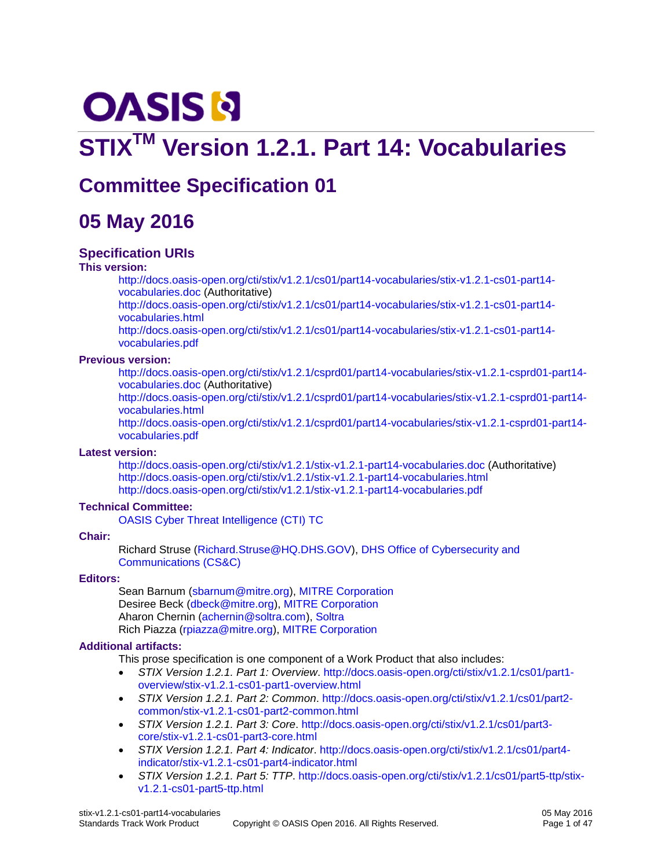# **OASIS N**

# **STIX[TM](https://www.oasis-open.org/) Version 1.2.1. Part 14: Vocabularies**

# **Committee Specification 01**

## **05 May 2016**

#### **Specification URIs**

#### **This version:**

[http://docs.oasis-open.org/cti/stix/v1.2.1/cs01/part14-vocabularies/stix-v1.2.1-cs01-part14](http://docs.oasis-open.org/cti/stix/v1.2.1/cs01/part14-vocabularies/stix-v1.2.1-cs01-part14-vocabularies.doc) [vocabularies.doc](http://docs.oasis-open.org/cti/stix/v1.2.1/cs01/part14-vocabularies/stix-v1.2.1-cs01-part14-vocabularies.doc) (Authoritative) [http://docs.oasis-open.org/cti/stix/v1.2.1/cs01/part14-vocabularies/stix-v1.2.1-cs01-part14](http://docs.oasis-open.org/cti/stix/v1.2.1/cs01/part14-vocabularies/stix-v1.2.1-cs01-part14-vocabularies.html) [vocabularies.html](http://docs.oasis-open.org/cti/stix/v1.2.1/cs01/part14-vocabularies/stix-v1.2.1-cs01-part14-vocabularies.html) [http://docs.oasis-open.org/cti/stix/v1.2.1/cs01/part14-vocabularies/stix-v1.2.1-cs01-part14-](http://docs.oasis-open.org/cti/stix/v1.2.1/cs01/part14-vocabularies/stix-v1.2.1-cs01-part14-vocabularies.pdf)

[vocabularies.pdf](http://docs.oasis-open.org/cti/stix/v1.2.1/cs01/part14-vocabularies/stix-v1.2.1-cs01-part14-vocabularies.pdf)

#### **Previous version:**

[http://docs.oasis-open.org/cti/stix/v1.2.1/csprd01/part14-vocabularies/stix-v1.2.1-csprd01-part14](http://docs.oasis-open.org/cti/stix/v1.2.1/csprd01/part14-vocabularies/stix-v1.2.1-csprd01-part14-vocabularies.doc) [vocabularies.doc](http://docs.oasis-open.org/cti/stix/v1.2.1/csprd01/part14-vocabularies/stix-v1.2.1-csprd01-part14-vocabularies.doc) (Authoritative)

[http://docs.oasis-open.org/cti/stix/v1.2.1/csprd01/part14-vocabularies/stix-v1.2.1-csprd01-part14](http://docs.oasis-open.org/cti/stix/v1.2.1/csprd01/part14-vocabularies/stix-v1.2.1-csprd01-part14-vocabularies.html) [vocabularies.html](http://docs.oasis-open.org/cti/stix/v1.2.1/csprd01/part14-vocabularies/stix-v1.2.1-csprd01-part14-vocabularies.html)

[http://docs.oasis-open.org/cti/stix/v1.2.1/csprd01/part14-vocabularies/stix-v1.2.1-csprd01-part14](http://docs.oasis-open.org/cti/stix/v1.2.1/csprd01/part14-vocabularies/stix-v1.2.1-csprd01-part14-vocabularies.pdf) [vocabularies.pdf](http://docs.oasis-open.org/cti/stix/v1.2.1/csprd01/part14-vocabularies/stix-v1.2.1-csprd01-part14-vocabularies.pdf)

#### **Latest version:**

<http://docs.oasis-open.org/cti/stix/v1.2.1/stix-v1.2.1-part14-vocabularies.doc> (Authoritative) <http://docs.oasis-open.org/cti/stix/v1.2.1/stix-v1.2.1-part14-vocabularies.html> <http://docs.oasis-open.org/cti/stix/v1.2.1/stix-v1.2.1-part14-vocabularies.pdf>

#### **Technical Committee:**

[OASIS Cyber Threat Intelligence \(CTI\) TC](https://www.oasis-open.org/committees/cti/)

#### **Chair:**

Richard Struse [\(Richard.Struse@HQ.DHS.GOV\)](mailto:Richard.Struse@HQ.DHS.GOV), [DHS Office of Cybersecurity and](http://www.dhs.gov/office-cybersecurity-and-communications)  [Communications \(CS&C\)](http://www.dhs.gov/office-cybersecurity-and-communications)

#### **Editors:**

Sean Barnum [\(sbarnum@mitre.org\)](mailto:sbarnum@mitre.org), [MITRE Corporation](http://www.mitre.org/) Desiree Beck [\(dbeck@mitre.org\)](mailto:dbeck@mitre.org), [MITRE Corporation](http://www.mitre.org/) Aharon Chernin [\(achernin@soltra.com\)](mailto:achernin@soltra.com)[, Soltra](http://www.soltra.com/) Rich Piazza [\(rpiazza@mitre.org\)](mailto:rpiazza@mitre.org), [MITRE Corporation](http://www.mitre.org/)

#### <span id="page-0-0"></span>**Additional artifacts:**

This prose specification is one component of a Work Product that also includes:

- *STIX Version 1.2.1. Part 1: Overview*. [http://docs.oasis-open.org/cti/stix/v1.2.1/cs01/part1](http://docs.oasis-open.org/cti/stix/v1.2.1/cs01/part1-overview/stix-v1.2.1-cs01-part1-overview.html) [overview/stix-v1.2.1-cs01-part1-overview.html](http://docs.oasis-open.org/cti/stix/v1.2.1/cs01/part1-overview/stix-v1.2.1-cs01-part1-overview.html)
- *STIX Version 1.2.1. Part 2: Common*. [http://docs.oasis-open.org/cti/stix/v1.2.1/cs01/part2](http://docs.oasis-open.org/cti/stix/v1.2.1/cs01/part2-common/stix-v1.2.1-cs01-part2-common.html) [common/stix-v1.2.1-cs01-part2-common.html](http://docs.oasis-open.org/cti/stix/v1.2.1/cs01/part2-common/stix-v1.2.1-cs01-part2-common.html)
- *STIX Version 1.2.1. Part 3: Core*. [http://docs.oasis-open.org/cti/stix/v1.2.1/cs01/part3](http://docs.oasis-open.org/cti/stix/v1.2.1/cs01/part3-core/stix-v1.2.1-cs01-part3-core.html) [core/stix-v1.2.1-cs01-part3-core.html](http://docs.oasis-open.org/cti/stix/v1.2.1/cs01/part3-core/stix-v1.2.1-cs01-part3-core.html)
- *STIX Version 1.2.1. Part 4: Indicator*. [http://docs.oasis-open.org/cti/stix/v1.2.1/cs01/part4](http://docs.oasis-open.org/cti/stix/v1.2.1/cs01/part4-indicator/stix-v1.2.1-cs01-part4-indicator.html) [indicator/stix-v1.2.1-cs01-part4-indicator.html](http://docs.oasis-open.org/cti/stix/v1.2.1/cs01/part4-indicator/stix-v1.2.1-cs01-part4-indicator.html)
- *STIX Version 1.2.1. Part 5: TTP*. [http://docs.oasis-open.org/cti/stix/v1.2.1/cs01/part5-ttp/stix](http://docs.oasis-open.org/cti/stix/v1.2.1/cs01/part5-ttp/stix-v1.2.1-cs01-part5-ttp.html)[v1.2.1-cs01-part5-ttp.html](http://docs.oasis-open.org/cti/stix/v1.2.1/cs01/part5-ttp/stix-v1.2.1-cs01-part5-ttp.html)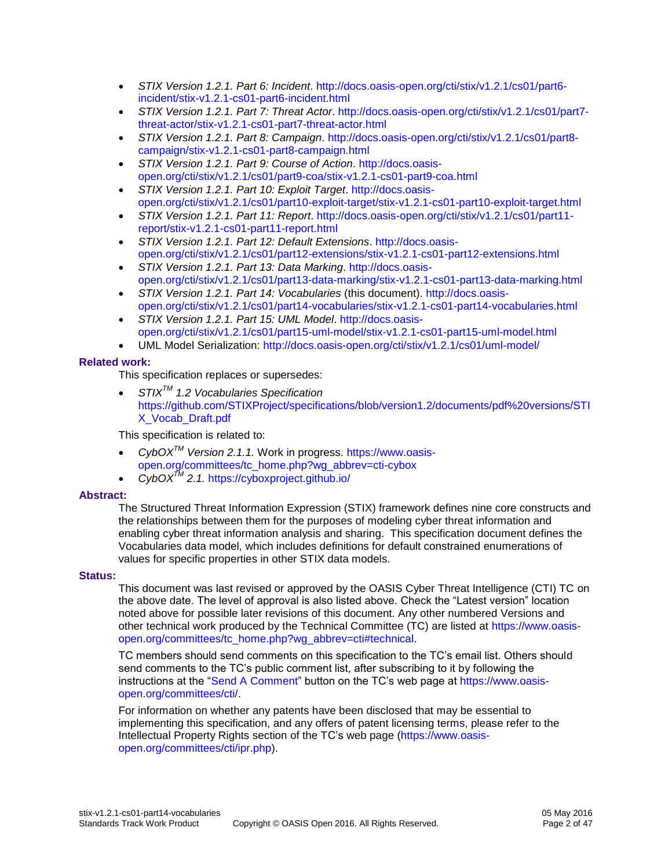- *STIX Version 1.2.1. Part 6: Incident*. [http://docs.oasis-open.org/cti/stix/v1.2.1/cs01/part6](http://docs.oasis-open.org/cti/stix/v1.2.1/cs01/part6-incident/stix-v1.2.1-cs01-part6-incident.html) [incident/stix-v1.2.1-cs01-part6-incident.html](http://docs.oasis-open.org/cti/stix/v1.2.1/cs01/part6-incident/stix-v1.2.1-cs01-part6-incident.html)
- *STIX Version 1.2.1. Part 7: Threat Actor*. [http://docs.oasis-open.org/cti/stix/v1.2.1/cs01/part7](http://docs.oasis-open.org/cti/stix/v1.2.1/cs01/part7-threat-actor/stix-v1.2.1-cs01-part7-threat-actor.html) [threat-actor/stix-v1.2.1-cs01-part7-threat-actor.html](http://docs.oasis-open.org/cti/stix/v1.2.1/cs01/part7-threat-actor/stix-v1.2.1-cs01-part7-threat-actor.html)
- *STIX Version 1.2.1. Part 8: Campaign*. [http://docs.oasis-open.org/cti/stix/v1.2.1/cs01/part8](http://docs.oasis-open.org/cti/stix/v1.2.1/cs01/part8-campaign/stix-v1.2.1-cs01-part8-campaign.html) [campaign/stix-v1.2.1-cs01-part8-campaign.html](http://docs.oasis-open.org/cti/stix/v1.2.1/cs01/part8-campaign/stix-v1.2.1-cs01-part8-campaign.html)
- *STIX Version 1.2.1. Part 9: Course of Action*. [http://docs.oasis](http://docs.oasis-open.org/cti/stix/v1.2.1/cs01/part9-coa/stix-v1.2.1-cs01-part9-coa.html)[open.org/cti/stix/v1.2.1/cs01/part9-coa/stix-v1.2.1-cs01-part9-coa.html](http://docs.oasis-open.org/cti/stix/v1.2.1/cs01/part9-coa/stix-v1.2.1-cs01-part9-coa.html)
- *STIX Version 1.2.1. Part 10: Exploit Target*. [http://docs.oasis](http://docs.oasis-open.org/cti/stix/v1.2.1/cs01/part10-exploit-target/stix-v1.2.1-cs01-part10-exploit-target.html)[open.org/cti/stix/v1.2.1/cs01/part10-exploit-target/stix-v1.2.1-cs01-part10-exploit-target.html](http://docs.oasis-open.org/cti/stix/v1.2.1/cs01/part10-exploit-target/stix-v1.2.1-cs01-part10-exploit-target.html)
- *STIX Version 1.2.1. Part 11: Report*. [http://docs.oasis-open.org/cti/stix/v1.2.1/cs01/part11](http://docs.oasis-open.org/cti/stix/v1.2.1/cs01/part11-report/stix-v1.2.1-cs01-part11-report.html) [report/stix-v1.2.1-cs01-part11-report.html](http://docs.oasis-open.org/cti/stix/v1.2.1/cs01/part11-report/stix-v1.2.1-cs01-part11-report.html)
- *STIX Version 1.2.1. Part 12: Default Extensions*. [http://docs.oasis](http://docs.oasis-open.org/cti/stix/v1.2.1/cs01/part12-extensions/stix-v1.2.1-cs01-part12-extensions.html)[open.org/cti/stix/v1.2.1/cs01/part12-extensions/stix-v1.2.1-cs01-part12-extensions.html](http://docs.oasis-open.org/cti/stix/v1.2.1/cs01/part12-extensions/stix-v1.2.1-cs01-part12-extensions.html)
- *STIX Version 1.2.1. Part 13: Data Marking*. [http://docs.oasis](http://docs.oasis-open.org/cti/stix/v1.2.1/cs01/part13-data-marking/stix-v1.2.1-cs01-part13-data-marking.html)[open.org/cti/stix/v1.2.1/cs01/part13-data-marking/stix-v1.2.1-cs01-part13-data-marking.html](http://docs.oasis-open.org/cti/stix/v1.2.1/cs01/part13-data-marking/stix-v1.2.1-cs01-part13-data-marking.html)
- *STIX Version 1.2.1. Part 14: Vocabularies* (this document). [http://docs.oasis](http://docs.oasis-open.org/cti/stix/v1.2.1/cs01/part14-vocabularies/stix-v1.2.1-cs01-part14-vocabularies.html)[open.org/cti/stix/v1.2.1/cs01/part14-vocabularies/stix-v1.2.1-cs01-part14-vocabularies.html](http://docs.oasis-open.org/cti/stix/v1.2.1/cs01/part14-vocabularies/stix-v1.2.1-cs01-part14-vocabularies.html)
- *STIX Version 1.2.1. Part 15: UML Model*. [http://docs.oasis](http://docs.oasis-open.org/cti/stix/v1.2.1/cs01/part15-uml-model/stix-v1.2.1-cs01-part15-uml-model.html)[open.org/cti/stix/v1.2.1/cs01/part15-uml-model/stix-v1.2.1-cs01-part15-uml-model.html](http://docs.oasis-open.org/cti/stix/v1.2.1/cs01/part15-uml-model/stix-v1.2.1-cs01-part15-uml-model.html)
- UML Model Serialization:<http://docs.oasis-open.org/cti/stix/v1.2.1/cs01/uml-model/>

#### <span id="page-1-0"></span>**Related work:**

This specification replaces or supersedes:

 *STIXTM 1.2 Vocabularies Specification*  [https://github.com/STIXProject/specifications/blob/version1.2/documents/pdf%20versions/STI](https://github.com/STIXProject/specifications/blob/version1.2/documents/pdf%20versions/STIX_Vocab_Draft.pdf) [X\\_Vocab\\_Draft.pdf](https://github.com/STIXProject/specifications/blob/version1.2/documents/pdf%20versions/STIX_Vocab_Draft.pdf)

This specification is related to:

- *CybOXTM Version 2.1.1.* Work in progress. [https://www.oasis](https://www.oasis-open.org/committees/tc_home.php?wg_abbrev=cti-cybox)[open.org/committees/tc\\_home.php?wg\\_abbrev=cti-cybox](https://www.oasis-open.org/committees/tc_home.php?wg_abbrev=cti-cybox)
- *CybOXTM 2.1.* <https://cyboxproject.github.io/>

#### **Abstract:**

The Structured Threat Information Expression (STIX) framework defines nine core constructs and the relationships between them for the purposes of modeling cyber threat information and enabling cyber threat information analysis and sharing. This specification document defines the Vocabularies data model, which includes definitions for default constrained enumerations of values for specific properties in other STIX data models.

#### **Status:**

This document was last revised or approved by the OASIS Cyber Threat Intelligence (CTI) TC on the above date. The level of approval is also listed above. Check the "Latest version" location noted above for possible later revisions of this document. Any other numbered Versions and other technical work produced by the Technical Committee (TC) are listed at [https://www.oasis](https://www.oasis-open.org/committees/tc_home.php?wg_abbrev=cti#technical)[open.org/committees/tc\\_home.php?wg\\_abbrev=cti#technical.](https://www.oasis-open.org/committees/tc_home.php?wg_abbrev=cti#technical)

TC members should send comments on this specification to the TC's email list. Others should send comments to the TC's public comment list, after subscribing to it by following the instructions at the ["Send A Comment"](https://www.oasis-open.org/committees/comments/index.php?wg_abbrev=cti) button on the TC's web page at [https://www.oasis](https://www.oasis-open.org/committees/cti/)[open.org/committees/cti/.](https://www.oasis-open.org/committees/cti/)

For information on whether any patents have been disclosed that may be essential to implementing this specification, and any offers of patent licensing terms, please refer to the Intellectual Property Rights section of the TC's web page [\(https://www.oasis](https://www.oasis-open.org/committees/cti/ipr.php)[open.org/committees/cti/ipr.php\)](https://www.oasis-open.org/committees/cti/ipr.php).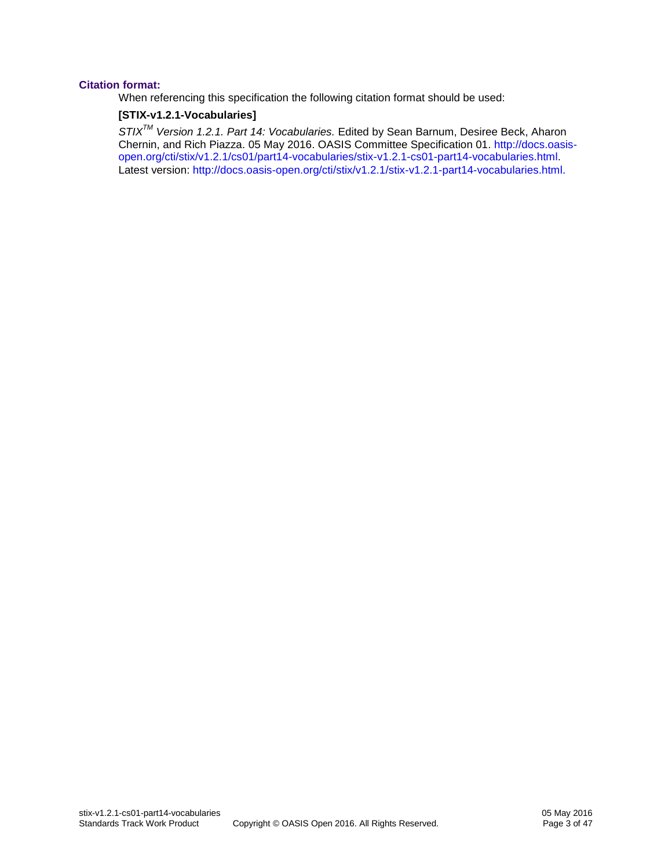#### **Citation format:**

When referencing this specification the following citation format should be used:

#### **[STIX-v1.2.1-Vocabularies]**

*STIXTM Version 1.2.1. Part 14: Vocabularies.* Edited by Sean Barnum, Desiree Beck, Aharon Chernin, and Rich Piazza. 05 May 2016. OASIS Committee Specification 01. [http://docs.oasis](http://docs.oasis-open.org/cti/stix/v1.2.1/cs01/part14-vocabularies/stix-v1.2.1-cs01-part14-vocabularies.html)[open.org/cti/stix/v1.2.1/cs01/part14-vocabularies/stix-v1.2.1-cs01-part14-vocabularies.html.](http://docs.oasis-open.org/cti/stix/v1.2.1/cs01/part14-vocabularies/stix-v1.2.1-cs01-part14-vocabularies.html) Latest version: [http://docs.oasis-open.org/cti/stix/v1.2.1/stix-v1.2.1-part14-vocabularies.html.](http://docs.oasis-open.org/cti/stix/v1.2.1/stix-v1.2.1-part14-vocabularies.html)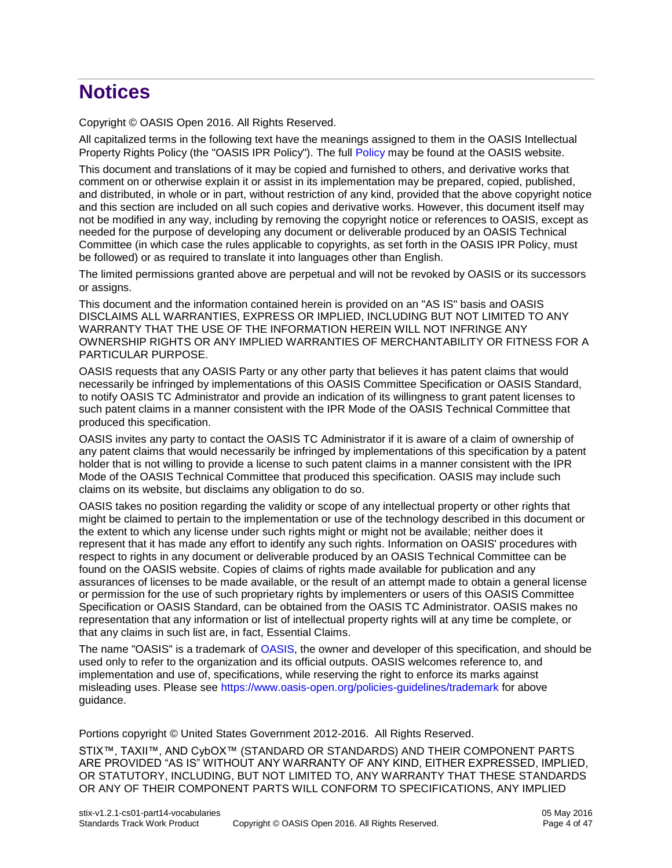# **Notices**

Copyright © OASIS Open 2016. All Rights Reserved.

All capitalized terms in the following text have the meanings assigned to them in the OASIS Intellectual Property Rights Policy (the "OASIS IPR Policy"). The full [Policy](https://www.oasis-open.org/policies-guidelines/ipr) may be found at the OASIS website.

This document and translations of it may be copied and furnished to others, and derivative works that comment on or otherwise explain it or assist in its implementation may be prepared, copied, published, and distributed, in whole or in part, without restriction of any kind, provided that the above copyright notice and this section are included on all such copies and derivative works. However, this document itself may not be modified in any way, including by removing the copyright notice or references to OASIS, except as needed for the purpose of developing any document or deliverable produced by an OASIS Technical Committee (in which case the rules applicable to copyrights, as set forth in the OASIS IPR Policy, must be followed) or as required to translate it into languages other than English.

The limited permissions granted above are perpetual and will not be revoked by OASIS or its successors or assigns.

This document and the information contained herein is provided on an "AS IS" basis and OASIS DISCLAIMS ALL WARRANTIES, EXPRESS OR IMPLIED, INCLUDING BUT NOT LIMITED TO ANY WARRANTY THAT THE USE OF THE INFORMATION HEREIN WILL NOT INFRINGE ANY OWNERSHIP RIGHTS OR ANY IMPLIED WARRANTIES OF MERCHANTABILITY OR FITNESS FOR A PARTICULAR PURPOSE.

OASIS requests that any OASIS Party or any other party that believes it has patent claims that would necessarily be infringed by implementations of this OASIS Committee Specification or OASIS Standard, to notify OASIS TC Administrator and provide an indication of its willingness to grant patent licenses to such patent claims in a manner consistent with the IPR Mode of the OASIS Technical Committee that produced this specification.

OASIS invites any party to contact the OASIS TC Administrator if it is aware of a claim of ownership of any patent claims that would necessarily be infringed by implementations of this specification by a patent holder that is not willing to provide a license to such patent claims in a manner consistent with the IPR Mode of the OASIS Technical Committee that produced this specification. OASIS may include such claims on its website, but disclaims any obligation to do so.

OASIS takes no position regarding the validity or scope of any intellectual property or other rights that might be claimed to pertain to the implementation or use of the technology described in this document or the extent to which any license under such rights might or might not be available; neither does it represent that it has made any effort to identify any such rights. Information on OASIS' procedures with respect to rights in any document or deliverable produced by an OASIS Technical Committee can be found on the OASIS website. Copies of claims of rights made available for publication and any assurances of licenses to be made available, or the result of an attempt made to obtain a general license or permission for the use of such proprietary rights by implementers or users of this OASIS Committee Specification or OASIS Standard, can be obtained from the OASIS TC Administrator. OASIS makes no representation that any information or list of intellectual property rights will at any time be complete, or that any claims in such list are, in fact, Essential Claims.

The name "OASIS" is a trademark of [OASIS,](https://www.oasis-open.org/) the owner and developer of this specification, and should be used only to refer to the organization and its official outputs. OASIS welcomes reference to, and implementation and use of, specifications, while reserving the right to enforce its marks against misleading uses. Please see<https://www.oasis-open.org/policies-guidelines/trademark> for above guidance.

Portions copyright © United States Government 2012-2016. All Rights Reserved.

STIX™, TAXII™, AND CybOX™ (STANDARD OR STANDARDS) AND THEIR COMPONENT PARTS ARE PROVIDED "AS IS" WITHOUT ANY WARRANTY OF ANY KIND, EITHER EXPRESSED, IMPLIED, OR STATUTORY, INCLUDING, BUT NOT LIMITED TO, ANY WARRANTY THAT THESE STANDARDS OR ANY OF THEIR COMPONENT PARTS WILL CONFORM TO SPECIFICATIONS, ANY IMPLIED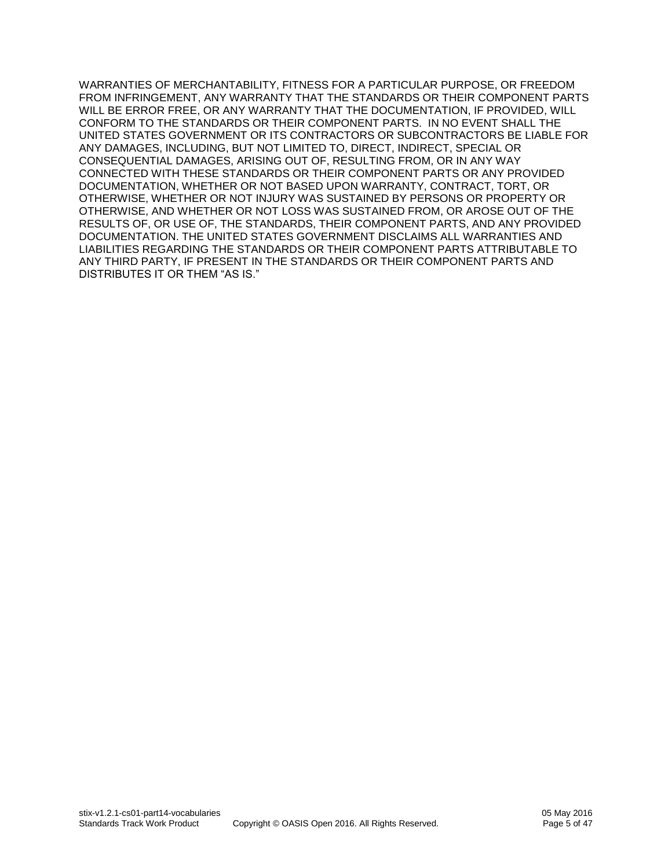WARRANTIES OF MERCHANTABILITY, FITNESS FOR A PARTICULAR PURPOSE, OR FREEDOM FROM INFRINGEMENT, ANY WARRANTY THAT THE STANDARDS OR THEIR COMPONENT PARTS WILL BE ERROR FREE, OR ANY WARRANTY THAT THE DOCUMENTATION, IF PROVIDED, WILL CONFORM TO THE STANDARDS OR THEIR COMPONENT PARTS. IN NO EVENT SHALL THE UNITED STATES GOVERNMENT OR ITS CONTRACTORS OR SUBCONTRACTORS BE LIABLE FOR ANY DAMAGES, INCLUDING, BUT NOT LIMITED TO, DIRECT, INDIRECT, SPECIAL OR CONSEQUENTIAL DAMAGES, ARISING OUT OF, RESULTING FROM, OR IN ANY WAY CONNECTED WITH THESE STANDARDS OR THEIR COMPONENT PARTS OR ANY PROVIDED DOCUMENTATION, WHETHER OR NOT BASED UPON WARRANTY, CONTRACT, TORT, OR OTHERWISE, WHETHER OR NOT INJURY WAS SUSTAINED BY PERSONS OR PROPERTY OR OTHERWISE, AND WHETHER OR NOT LOSS WAS SUSTAINED FROM, OR AROSE OUT OF THE RESULTS OF, OR USE OF, THE STANDARDS, THEIR COMPONENT PARTS, AND ANY PROVIDED DOCUMENTATION. THE UNITED STATES GOVERNMENT DISCLAIMS ALL WARRANTIES AND LIABILITIES REGARDING THE STANDARDS OR THEIR COMPONENT PARTS ATTRIBUTABLE TO ANY THIRD PARTY, IF PRESENT IN THE STANDARDS OR THEIR COMPONENT PARTS AND DISTRIBUTES IT OR THEM "AS IS."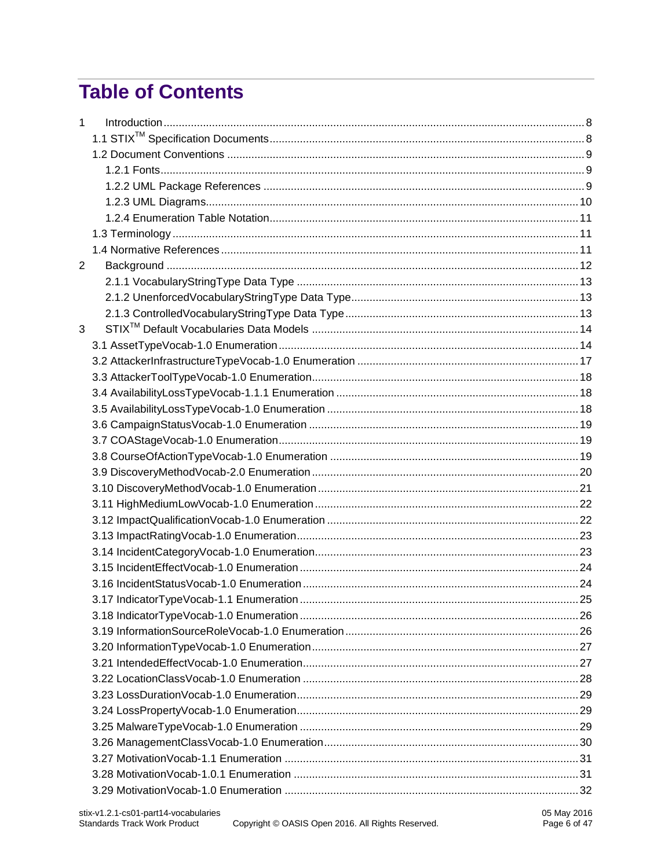# **Table of Contents**

| $\mathbf{1}$ |  |
|--------------|--|
|              |  |
|              |  |
|              |  |
|              |  |
|              |  |
|              |  |
|              |  |
|              |  |
| 2            |  |
|              |  |
|              |  |
|              |  |
| 3            |  |
|              |  |
|              |  |
|              |  |
|              |  |
|              |  |
|              |  |
|              |  |
|              |  |
|              |  |
|              |  |
|              |  |
|              |  |
|              |  |
|              |  |
|              |  |
|              |  |
|              |  |
|              |  |
|              |  |
|              |  |
|              |  |
|              |  |
|              |  |
|              |  |
|              |  |
|              |  |
|              |  |
|              |  |
|              |  |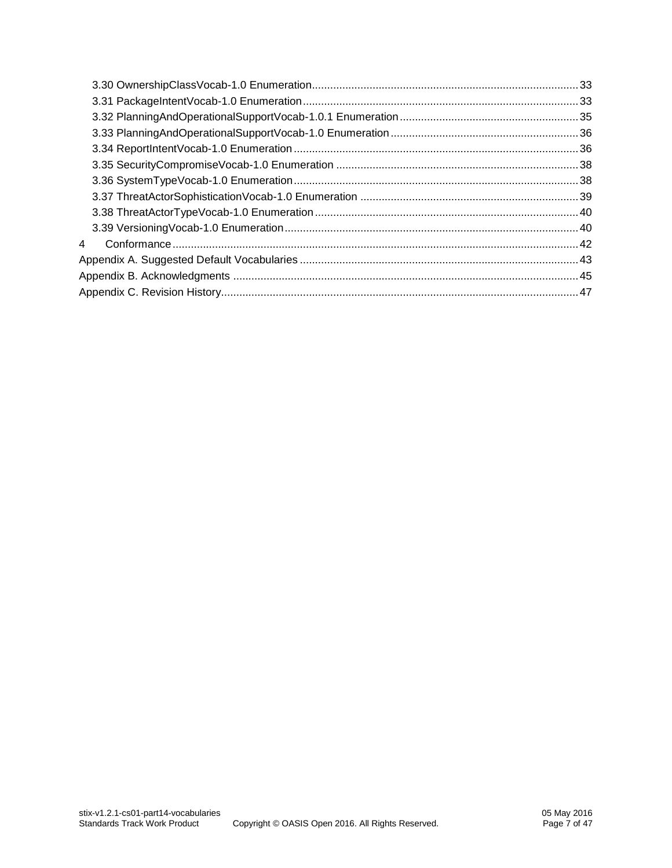| 4 |  |
|---|--|
|   |  |
|   |  |
|   |  |
|   |  |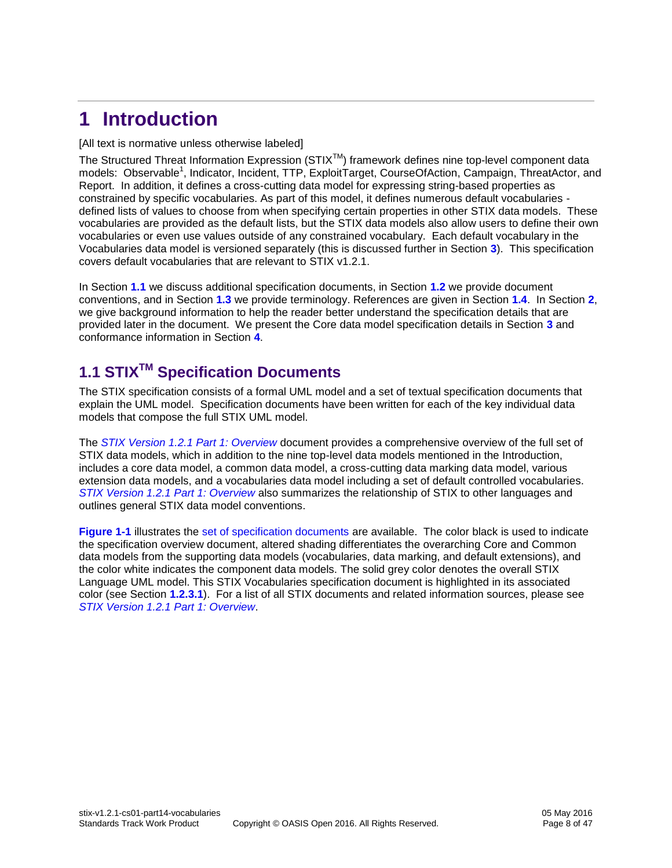# <span id="page-7-0"></span>**1 Introduction**

#### [All text is normative unless otherwise labeled]

The Structured Threat Information Expression (STIX<sup>™</sup>) framework defines nine top-level component data models: Observable<sup>1</sup>, Indicator, Incident, TTP, ExploitTarget, CourseOfAction, Campaign, ThreatActor, and Report. In addition, it defines a cross-cutting data model for expressing string-based properties as constrained by specific vocabularies. As part of this model, it defines numerous default vocabularies defined lists of values to choose from when specifying certain properties in other STIX data models. These vocabularies are provided as the default lists, but the STIX data models also allow users to define their own vocabularies or even use values outside of any constrained vocabulary. Each default vocabulary in the Vocabularies data model is versioned separately (this is discussed further in Section **[3](#page-13-0)**). This specification covers default vocabularies that are relevant to STIX v1.2.1.

In Section **[1.1](#page-7-1)** we discuss additional specification documents, in Section **[1.2](#page-8-0)** we provide document conventions, and in Section **[1.3](#page-10-1)** we provide terminology. References are given in Section **[1.4](#page-10-2)**. In Section **[2](#page-11-0)**, we give background information to help the reader better understand the specification details that are provided later in the document. We present the Core data model specification details in Section **[3](#page-13-0)** and conformance information in Section **[4](#page-41-0)**.

### <span id="page-7-1"></span>**1.1 STIXTM Specification Documents**

The STIX specification consists of a formal UML model and a set of textual specification documents that explain the UML model. Specification documents have been written for each of the key individual data models that compose the full STIX UML model.

The *[STIX Version 1.2.1 Part 1: Overview](#page-0-0)* document provides a comprehensive overview of the full set of STIX data models, which in addition to the nine top-level data models mentioned in the Introduction, includes a core data model, a common data model, a cross-cutting data marking data model, various extension data models, and a vocabularies data model including a set of default controlled vocabularies. *[STIX Version 1.2.1 Part 1: Overview](#page-0-0)* also summarizes the relationship of STIX to other languages and outlines general STIX data model conventions.

**[Figure 1-1](#page-8-3)** illustrates the [set of specification documents](#page-0-0) are available. The color black is used to indicate the specification overview document, altered shading differentiates the overarching Core and Common data models from the supporting data models (vocabularies, data marking, and default extensions), and the color white indicates the component data models. The solid grey color denotes the overall STIX Language UML model. This STIX Vocabularies specification document is highlighted in its associated color (see Section **[1.2.3.1](#page-9-1)**). For a list of all STIX documents and related information sources, please see *[STIX Version 1.2.1 Part 1: Overview](#page-0-0)*.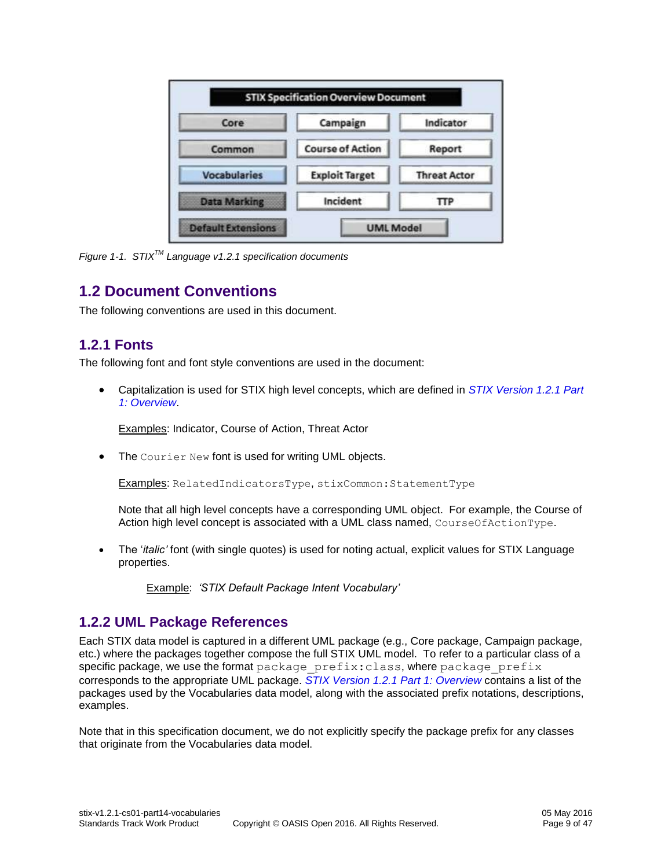| Core                | Campaign                | Indicator           |
|---------------------|-------------------------|---------------------|
| Common              | <b>Course of Action</b> | Report              |
| <b>Vocabularies</b> | <b>Exploit Target</b>   | <b>Threat Actor</b> |
| <b>Data Marking</b> | Incident                | ПP                  |

<span id="page-8-3"></span>*Figure 1-1. STIXTM Language v1.2.1 specification documents*

#### <span id="page-8-0"></span>**1.2 Document Conventions**

The following conventions are used in this document.

#### <span id="page-8-1"></span>**1.2.1 Fonts**

The following font and font style conventions are used in the document:

 Capitalization is used for STIX high level concepts, which are defined in *[STIX Version 1.2.1 Part](#page-0-0)  [1: Overview](#page-0-0)*.

**Examples: Indicator, Course of Action, Threat Actor** 

• The Courier New font is used for writing UML objects.

Examples: RelatedIndicatorsType, stixCommon:StatementType

Note that all high level concepts have a corresponding UML object. For example, the Course of Action high level concept is associated with a UML class named, CourseOfActionType.

 The '*italic'* font (with single quotes) is used for noting actual, explicit values for STIX Language properties.

Example: *'STIX Default Package Intent Vocabulary'*

#### <span id="page-8-2"></span>**1.2.2 UML Package References**

Each STIX data model is captured in a different UML package (e.g., Core package, Campaign package, etc.) where the packages together compose the full STIX UML model. To refer to a particular class of a specific package, we use the format package prefix: class, where package prefix corresponds to the appropriate UML package. *STIX Version [1.2.1 Part 1: Overview](#page-0-0)* contains a list of the packages used by the Vocabularies data model, along with the associated prefix notations, descriptions, examples.

Note that in this specification document, we do not explicitly specify the package prefix for any classes that originate from the Vocabularies data model.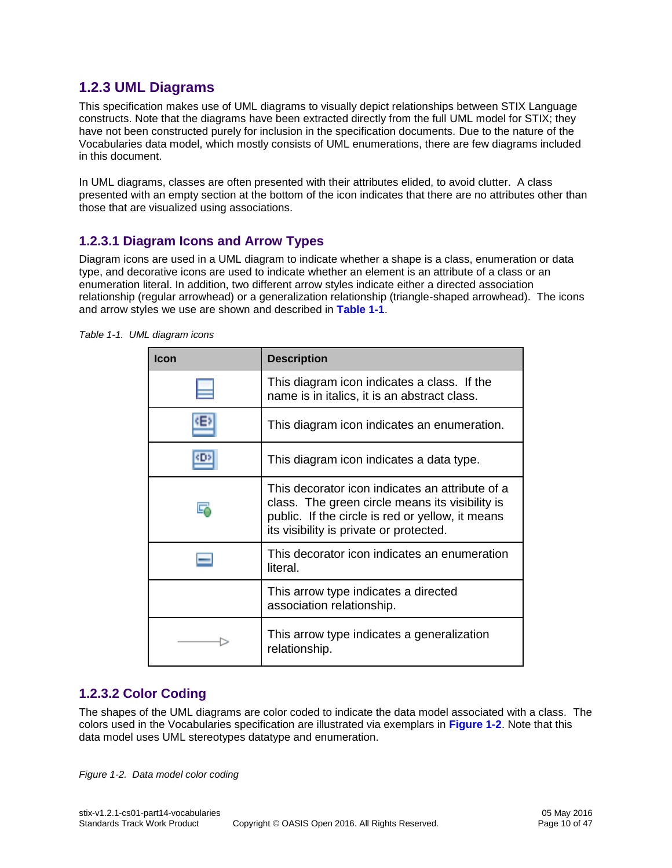#### <span id="page-9-0"></span>**1.2.3 UML Diagrams**

This specification makes use of UML diagrams to visually depict relationships between STIX Language constructs. Note that the diagrams have been extracted directly from the full UML model for STIX; they have not been constructed purely for inclusion in the specification documents. Due to the nature of the Vocabularies data model, which mostly consists of UML enumerations, there are few diagrams included in this document.

In UML diagrams, classes are often presented with their attributes elided, to avoid clutter. A class presented with an empty section at the bottom of the icon indicates that there are no attributes other than those that are visualized using associations.

#### <span id="page-9-1"></span>**1.2.3.1 Diagram Icons and Arrow Types**

Diagram icons are used in a UML diagram to indicate whether a shape is a class, enumeration or data type, and decorative icons are used to indicate whether an element is an attribute of a class or an enumeration literal. In addition, two different arrow styles indicate either a directed association relationship (regular arrowhead) or a generalization relationship (triangle-shaped arrowhead). The icons and arrow styles we use are shown and described in **[Table 1-1](#page-9-2)**.

| <b>Icon</b> | <b>Description</b>                                                                                                                                                                                |
|-------------|---------------------------------------------------------------------------------------------------------------------------------------------------------------------------------------------------|
|             | This diagram icon indicates a class. If the<br>name is in italics, it is an abstract class.                                                                                                       |
|             | This diagram icon indicates an enumeration.                                                                                                                                                       |
|             | This diagram icon indicates a data type.                                                                                                                                                          |
|             | This decorator icon indicates an attribute of a<br>class. The green circle means its visibility is<br>public. If the circle is red or yellow, it means<br>its visibility is private or protected. |
|             | This decorator icon indicates an enumeration<br>literal.                                                                                                                                          |
|             | This arrow type indicates a directed<br>association relationship.                                                                                                                                 |
|             | This arrow type indicates a generalization<br>relationship.                                                                                                                                       |

<span id="page-9-2"></span>

| Table 1-1. UML diagram icons |
|------------------------------|
|                              |

#### **1.2.3.2 Color Coding**

The shapes of the UML diagrams are color coded to indicate the data model associated with a class. The colors used in the Vocabularies specification are illustrated via exemplars in **[Figure 1-2](#page-9-3)**. Note that this data model uses UML stereotypes datatype and enumeration.

<span id="page-9-3"></span>*Figure 1-2. Data model color coding*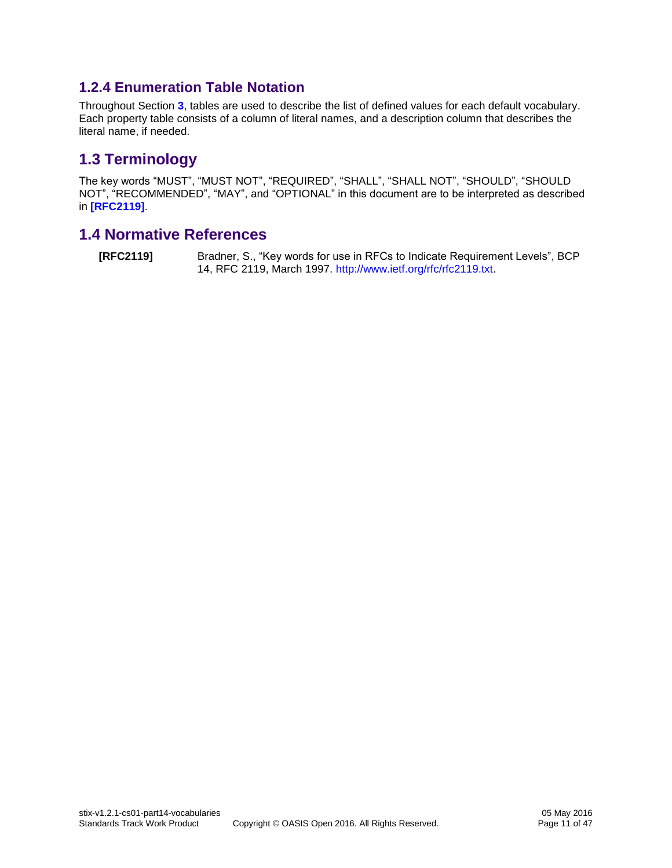#### <span id="page-10-0"></span>**1.2.4 Enumeration Table Notation**

Throughout Section **[3](#page-13-0)**, tables are used to describe the list of defined values for each default vocabulary. Each property table consists of a column of literal names, and a description column that describes the literal name, if needed.

#### <span id="page-10-1"></span>**1.3 Terminology**

The key words "MUST", "MUST NOT", "REQUIRED", "SHALL", "SHALL NOT", "SHOULD", "SHOULD NOT", "RECOMMENDED", "MAY", and "OPTIONAL" in this document are to be interpreted as described in **[\[RFC2119\]](#page-10-3)**.

#### <span id="page-10-2"></span>**1.4 Normative References**

<span id="page-10-3"></span>**[RFC2119]** Bradner, S., "Key words for use in RFCs to Indicate Requirement Levels", BCP 14, RFC 2119, March 1997. [http://www.ietf.org/rfc/rfc2119.txt.](http://www.ietf.org/rfc/rfc2119.txt)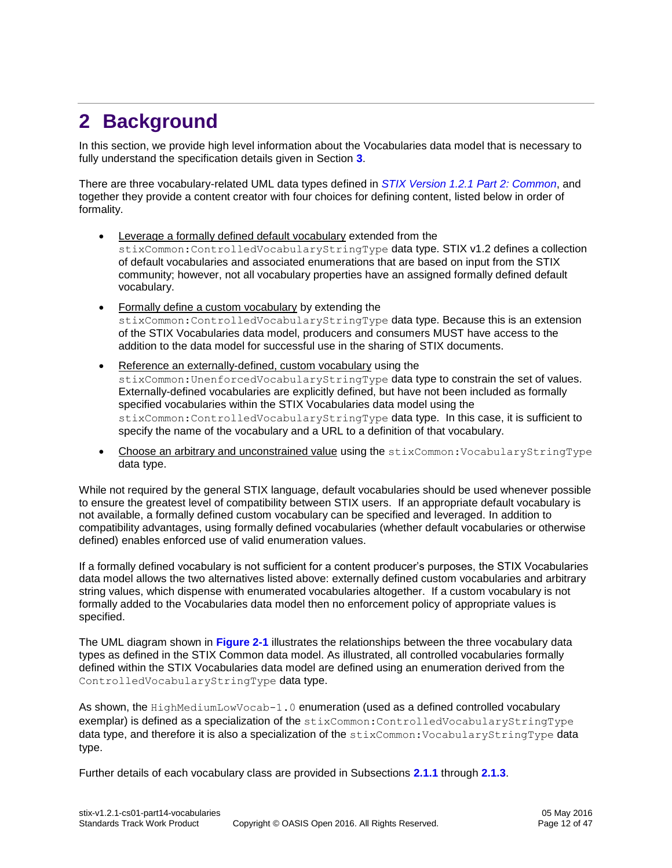# <span id="page-11-1"></span><span id="page-11-0"></span>**2 Background**

In this section, we provide high level information about the Vocabularies data model that is necessary to fully understand the specification details given in Section **[3](#page-13-0)**.

There are three vocabulary-related UML data types defined in *[STIX Version 1.2.1 Part 2: Common](#page-0-0)*, and together they provide a content creator with four choices for defining content, listed below in order of formality.

- Leverage a formally defined default vocabulary extended from the stixCommon:ControlledVocabularyStringType data type. STIX v1.2 defines a collection of default vocabularies and associated enumerations that are based on input from the STIX community; however, not all vocabulary properties have an assigned formally defined default vocabulary.
- Formally define a custom vocabulary by extending the stixCommon:ControlledVocabularyStringType data type. Because this is an extension of the STIX Vocabularies data model, producers and consumers MUST have access to the addition to the data model for successful use in the sharing of STIX documents.
- Reference an externally-defined, custom vocabulary using the stixCommon:UnenforcedVocabularyStringType data type to constrain the set of values. Externally-defined vocabularies are explicitly defined, but have not been included as formally specified vocabularies within the STIX Vocabularies data model using the stixCommon:ControlledVocabularyStringType data type. In this case, it is sufficient to specify the name of the vocabulary and a URL to a definition of that vocabulary.
- Choose an arbitrary and unconstrained value using the stixCommon: VocabularyStringType data type.

While not required by the general STIX language, default vocabularies should be used whenever possible to ensure the greatest level of compatibility between STIX users. If an appropriate default vocabulary is not available, a formally defined custom vocabulary can be specified and leveraged. In addition to compatibility advantages, using formally defined vocabularies (whether default vocabularies or otherwise defined) enables enforced use of valid enumeration values.

If a formally defined vocabulary is not sufficient for a content producer's purposes, the STIX Vocabularies data model allows the two alternatives listed above: externally defined custom vocabularies and arbitrary string values, which dispense with enumerated vocabularies altogether. If a custom vocabulary is not formally added to the Vocabularies data model then no enforcement policy of appropriate values is specified.

The UML diagram shown in **[Figure 2-1](#page-12-3)** illustrates the relationships between the three vocabulary data types as defined in the STIX Common data model. As illustrated, all controlled vocabularies formally defined within the STIX Vocabularies data model are defined using an enumeration derived from the ControlledVocabularyStringType data type.

As shown, the HighMediumLowVocab-1.0 enumeration (used as a defined controlled vocabulary exemplar) is defined as a specialization of the stixCommon:ControlledVocabularyStringType data type, and therefore it is also a specialization of the stixCommon: VocabularyStringType data type.

Further details of each vocabulary class are provided in Subsections **[2.1.1](#page-12-0)** through **[2.1.3](#page-12-2)**.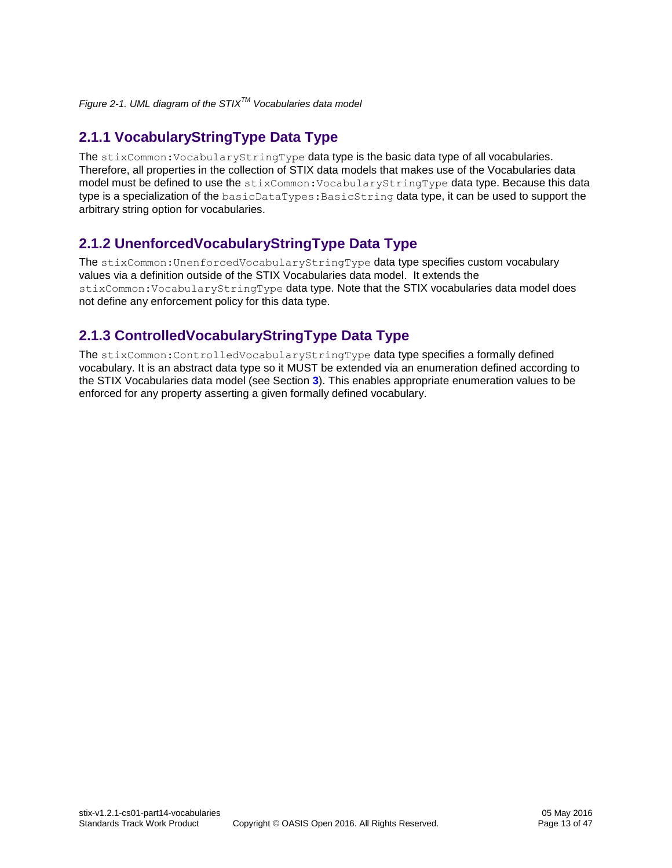<span id="page-12-3"></span>*Figure 2-1. UML diagram of the STIXTM Vocabularies data model*

#### <span id="page-12-0"></span>**2.1.1 VocabularyStringType Data Type**

The stixCommon:VocabularyStringType data type is the basic data type of all vocabularies. Therefore, all properties in the collection of STIX data models that makes use of the Vocabularies data model must be defined to use the stixCommon: VocabularyStringType data type. Because this data type is a specialization of the basicDataTypes:BasicString data type, it can be used to support the arbitrary string option for vocabularies.

#### <span id="page-12-1"></span>**2.1.2 UnenforcedVocabularyStringType Data Type**

The stixCommon:UnenforcedVocabularyStringType data type specifies custom vocabulary values via a definition outside of the STIX Vocabularies data model. It extends the stixCommon: VocabularyStringType data type. Note that the STIX vocabularies data model does not define any enforcement policy for this data type.

#### <span id="page-12-2"></span>**2.1.3 ControlledVocabularyStringType Data Type**

The stixCommon:ControlledVocabularyStringType data type specifies a formally defined vocabulary. It is an abstract data type so it MUST be extended via an enumeration defined according to the STIX Vocabularies data model (see Section **[3](#page-13-0)**). This enables appropriate enumeration values to be enforced for any property asserting a given formally defined vocabulary.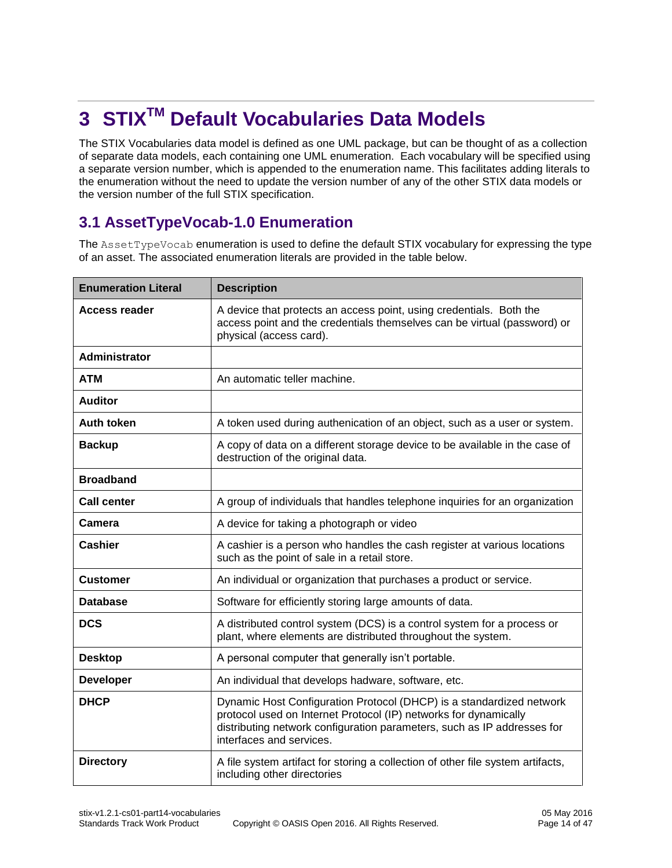# <span id="page-13-0"></span>**3 STIXTM Default Vocabularies Data Models**

The STIX Vocabularies data model is defined as one UML package, but can be thought of as a collection of separate data models, each containing one UML enumeration. Each vocabulary will be specified using a separate version number, which is appended to the enumeration name. This facilitates adding literals to the enumeration without the need to update the version number of any of the other STIX data models or the version number of the full STIX specification.

#### <span id="page-13-1"></span>**3.1 AssetTypeVocab-1.0 Enumeration**

The AssetTypeVocab enumeration is used to define the default STIX vocabulary for expressing the type of an asset. The associated enumeration literals are provided in the table below.

| <b>Enumeration Literal</b> | <b>Description</b>                                                                                                                                                                                                                              |
|----------------------------|-------------------------------------------------------------------------------------------------------------------------------------------------------------------------------------------------------------------------------------------------|
| <b>Access reader</b>       | A device that protects an access point, using credentials. Both the<br>access point and the credentials themselves can be virtual (password) or<br>physical (access card).                                                                      |
| Administrator              |                                                                                                                                                                                                                                                 |
| <b>ATM</b>                 | An automatic teller machine.                                                                                                                                                                                                                    |
| <b>Auditor</b>             |                                                                                                                                                                                                                                                 |
| <b>Auth token</b>          | A token used during authenication of an object, such as a user or system.                                                                                                                                                                       |
| <b>Backup</b>              | A copy of data on a different storage device to be available in the case of<br>destruction of the original data.                                                                                                                                |
| <b>Broadband</b>           |                                                                                                                                                                                                                                                 |
| <b>Call center</b>         | A group of individuals that handles telephone inquiries for an organization                                                                                                                                                                     |
| Camera                     | A device for taking a photograph or video                                                                                                                                                                                                       |
| <b>Cashier</b>             | A cashier is a person who handles the cash register at various locations<br>such as the point of sale in a retail store.                                                                                                                        |
| <b>Customer</b>            | An individual or organization that purchases a product or service.                                                                                                                                                                              |
| <b>Database</b>            | Software for efficiently storing large amounts of data.                                                                                                                                                                                         |
| <b>DCS</b>                 | A distributed control system (DCS) is a control system for a process or<br>plant, where elements are distributed throughout the system.                                                                                                         |
| <b>Desktop</b>             | A personal computer that generally isn't portable.                                                                                                                                                                                              |
| <b>Developer</b>           | An individual that develops hadware, software, etc.                                                                                                                                                                                             |
| <b>DHCP</b>                | Dynamic Host Configuration Protocol (DHCP) is a standardized network<br>protocol used on Internet Protocol (IP) networks for dynamically<br>distributing network configuration parameters, such as IP addresses for<br>interfaces and services. |
| <b>Directory</b>           | A file system artifact for storing a collection of other file system artifacts,<br>including other directories                                                                                                                                  |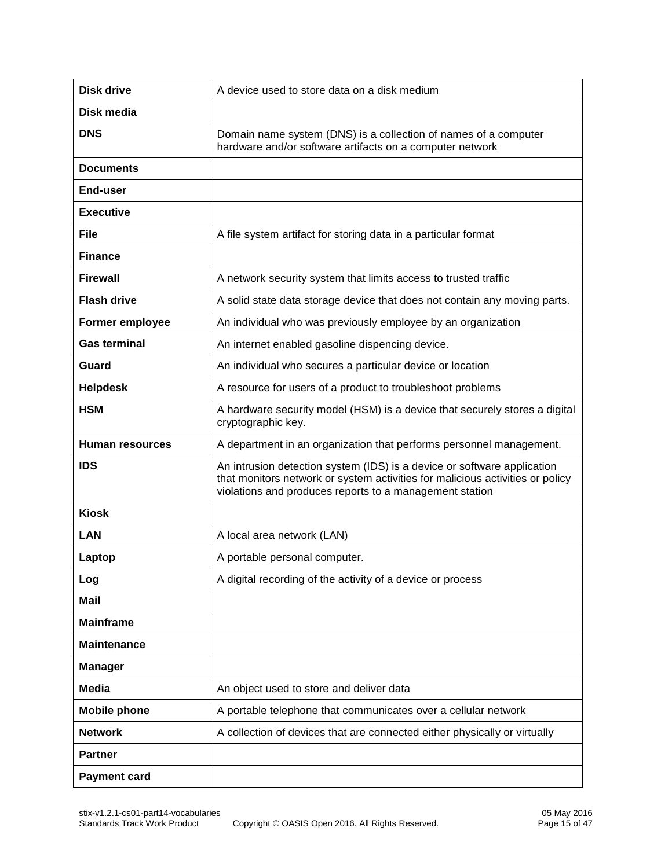| <b>Disk drive</b>      | A device used to store data on a disk medium                                                                                                                                                                        |
|------------------------|---------------------------------------------------------------------------------------------------------------------------------------------------------------------------------------------------------------------|
| Disk media             |                                                                                                                                                                                                                     |
| <b>DNS</b>             | Domain name system (DNS) is a collection of names of a computer<br>hardware and/or software artifacts on a computer network                                                                                         |
| <b>Documents</b>       |                                                                                                                                                                                                                     |
| <b>End-user</b>        |                                                                                                                                                                                                                     |
| <b>Executive</b>       |                                                                                                                                                                                                                     |
| <b>File</b>            | A file system artifact for storing data in a particular format                                                                                                                                                      |
| <b>Finance</b>         |                                                                                                                                                                                                                     |
| <b>Firewall</b>        | A network security system that limits access to trusted traffic                                                                                                                                                     |
| <b>Flash drive</b>     | A solid state data storage device that does not contain any moving parts.                                                                                                                                           |
| Former employee        | An individual who was previously employee by an organization                                                                                                                                                        |
| <b>Gas terminal</b>    | An internet enabled gasoline dispencing device.                                                                                                                                                                     |
| Guard                  | An individual who secures a particular device or location                                                                                                                                                           |
| <b>Helpdesk</b>        | A resource for users of a product to troubleshoot problems                                                                                                                                                          |
| <b>HSM</b>             | A hardware security model (HSM) is a device that securely stores a digital<br>cryptographic key.                                                                                                                    |
| <b>Human resources</b> | A department in an organization that performs personnel management.                                                                                                                                                 |
| <b>IDS</b>             | An intrusion detection system (IDS) is a device or software application<br>that monitors network or system activities for malicious activities or policy<br>violations and produces reports to a management station |
| <b>Kiosk</b>           |                                                                                                                                                                                                                     |
| <b>LAN</b>             | A local area network (LAN)                                                                                                                                                                                          |
| Laptop                 | A portable personal computer.                                                                                                                                                                                       |
| Log                    | A digital recording of the activity of a device or process                                                                                                                                                          |
| <b>Mail</b>            |                                                                                                                                                                                                                     |
| <b>Mainframe</b>       |                                                                                                                                                                                                                     |
| <b>Maintenance</b>     |                                                                                                                                                                                                                     |
| <b>Manager</b>         |                                                                                                                                                                                                                     |
| <b>Media</b>           | An object used to store and deliver data                                                                                                                                                                            |
| <b>Mobile phone</b>    | A portable telephone that communicates over a cellular network                                                                                                                                                      |
| <b>Network</b>         | A collection of devices that are connected either physically or virtually                                                                                                                                           |
| <b>Partner</b>         |                                                                                                                                                                                                                     |
| <b>Payment card</b>    |                                                                                                                                                                                                                     |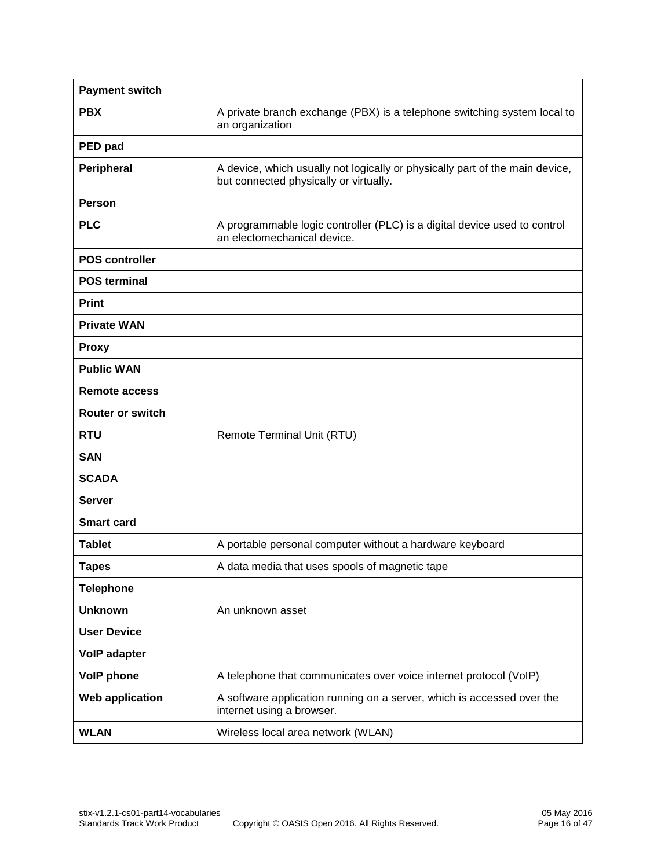| <b>Payment switch</b>  |                                                                                                                        |
|------------------------|------------------------------------------------------------------------------------------------------------------------|
| <b>PBX</b>             | A private branch exchange (PBX) is a telephone switching system local to<br>an organization                            |
| PED pad                |                                                                                                                        |
| Peripheral             | A device, which usually not logically or physically part of the main device,<br>but connected physically or virtually. |
| <b>Person</b>          |                                                                                                                        |
| <b>PLC</b>             | A programmable logic controller (PLC) is a digital device used to control<br>an electomechanical device.               |
| <b>POS controller</b>  |                                                                                                                        |
| <b>POS terminal</b>    |                                                                                                                        |
| <b>Print</b>           |                                                                                                                        |
| <b>Private WAN</b>     |                                                                                                                        |
| <b>Proxy</b>           |                                                                                                                        |
| <b>Public WAN</b>      |                                                                                                                        |
| <b>Remote access</b>   |                                                                                                                        |
| Router or switch       |                                                                                                                        |
| <b>RTU</b>             | Remote Terminal Unit (RTU)                                                                                             |
| <b>SAN</b>             |                                                                                                                        |
| <b>SCADA</b>           |                                                                                                                        |
| <b>Server</b>          |                                                                                                                        |
| <b>Smart card</b>      |                                                                                                                        |
| <b>Tablet</b>          | A portable personal computer without a hardware keyboard                                                               |
| <b>Tapes</b>           | A data media that uses spools of magnetic tape                                                                         |
| <b>Telephone</b>       |                                                                                                                        |
| <b>Unknown</b>         | An unknown asset                                                                                                       |
| <b>User Device</b>     |                                                                                                                        |
| <b>VolP adapter</b>    |                                                                                                                        |
| <b>VolP phone</b>      | A telephone that communicates over voice internet protocol (VoIP)                                                      |
| <b>Web application</b> | A software application running on a server, which is accessed over the<br>internet using a browser.                    |
| <b>WLAN</b>            | Wireless local area network (WLAN)                                                                                     |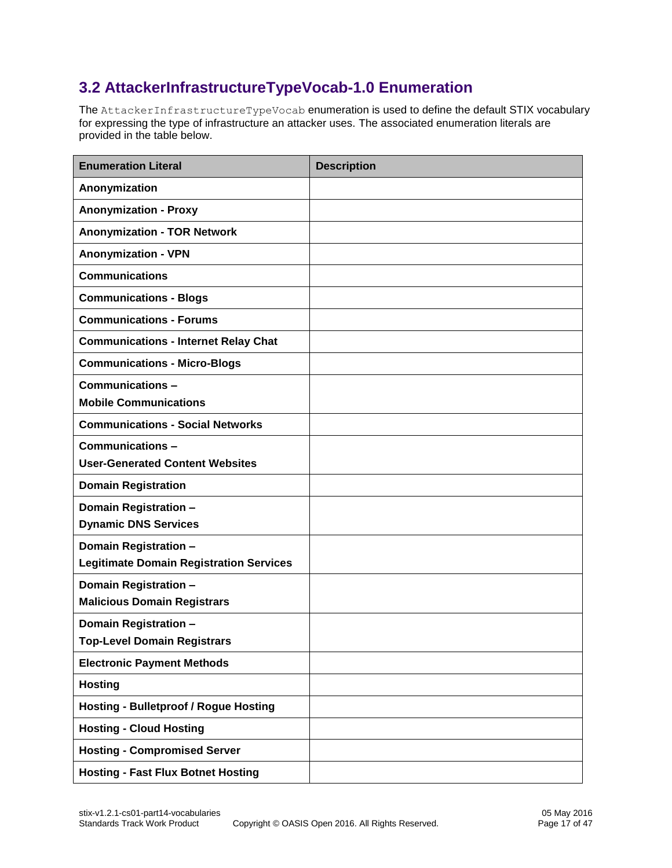### <span id="page-16-0"></span>**3.2 AttackerInfrastructureTypeVocab-1.0 Enumeration**

The AttackerInfrastructureTypeVocab enumeration is used to define the default STIX vocabulary for expressing the type of infrastructure an attacker uses. The associated enumeration literals are provided in the table below.

| <b>Enumeration Literal</b>                                              | <b>Description</b> |
|-------------------------------------------------------------------------|--------------------|
| Anonymization                                                           |                    |
| <b>Anonymization - Proxy</b>                                            |                    |
| <b>Anonymization - TOR Network</b>                                      |                    |
| <b>Anonymization - VPN</b>                                              |                    |
| <b>Communications</b>                                                   |                    |
| <b>Communications - Blogs</b>                                           |                    |
| <b>Communications - Forums</b>                                          |                    |
| <b>Communications - Internet Relay Chat</b>                             |                    |
| <b>Communications - Micro-Blogs</b>                                     |                    |
| Communications -                                                        |                    |
| <b>Mobile Communications</b>                                            |                    |
| <b>Communications - Social Networks</b>                                 |                    |
| Communications-                                                         |                    |
| <b>User-Generated Content Websites</b>                                  |                    |
| <b>Domain Registration</b>                                              |                    |
| Domain Registration -                                                   |                    |
| <b>Dynamic DNS Services</b>                                             |                    |
| Domain Registration -<br><b>Legitimate Domain Registration Services</b> |                    |
| Domain Registration -                                                   |                    |
| <b>Malicious Domain Registrars</b>                                      |                    |
| Domain Registration -                                                   |                    |
| <b>Top-Level Domain Registrars</b>                                      |                    |
| <b>Electronic Payment Methods</b>                                       |                    |
| <b>Hosting</b>                                                          |                    |
| <b>Hosting - Bulletproof / Rogue Hosting</b>                            |                    |
| <b>Hosting - Cloud Hosting</b>                                          |                    |
| <b>Hosting - Compromised Server</b>                                     |                    |
| <b>Hosting - Fast Flux Botnet Hosting</b>                               |                    |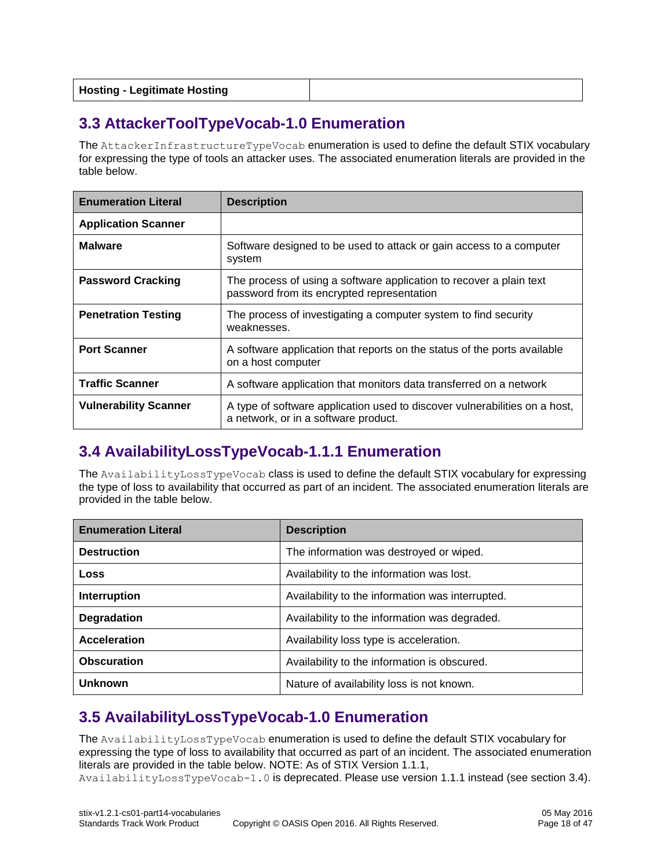| <b>Hosting - Legitimate Hosting</b> |  |
|-------------------------------------|--|
|                                     |  |

### <span id="page-17-0"></span>**3.3 AttackerToolTypeVocab-1.0 Enumeration**

The AttackerInfrastructureTypeVocab enumeration is used to define the default STIX vocabulary for expressing the type of tools an attacker uses. The associated enumeration literals are provided in the table below.

| <b>Enumeration Literal</b>   | <b>Description</b>                                                                                                 |
|------------------------------|--------------------------------------------------------------------------------------------------------------------|
| <b>Application Scanner</b>   |                                                                                                                    |
| <b>Malware</b>               | Software designed to be used to attack or gain access to a computer<br>system                                      |
| <b>Password Cracking</b>     | The process of using a software application to recover a plain text<br>password from its encrypted representation  |
| <b>Penetration Testing</b>   | The process of investigating a computer system to find security<br>weaknesses.                                     |
| <b>Port Scanner</b>          | A software application that reports on the status of the ports available<br>on a host computer                     |
| <b>Traffic Scanner</b>       | A software application that monitors data transferred on a network                                                 |
| <b>Vulnerability Scanner</b> | A type of software application used to discover vulnerabilities on a host,<br>a network, or in a software product. |

### <span id="page-17-1"></span>**3.4 AvailabilityLossTypeVocab-1.1.1 Enumeration**

The AvailabilityLossTypeVocab class is used to define the default STIX vocabulary for expressing the type of loss to availability that occurred as part of an incident. The associated enumeration literals are provided in the table below.

| <b>Enumeration Literal</b> | <b>Description</b>                               |
|----------------------------|--------------------------------------------------|
| <b>Destruction</b>         | The information was destroyed or wiped.          |
| Loss                       | Availability to the information was lost.        |
| Interruption               | Availability to the information was interrupted. |
| <b>Degradation</b>         | Availability to the information was degraded.    |
| <b>Acceleration</b>        | Availability loss type is acceleration.          |
| <b>Obscuration</b>         | Availability to the information is obscured.     |
| <b>Unknown</b>             | Nature of availability loss is not known.        |

### <span id="page-17-2"></span>**3.5 AvailabilityLossTypeVocab-1.0 Enumeration**

The AvailabilityLossTypeVocab enumeration is used to define the default STIX vocabulary for expressing the type of loss to availability that occurred as part of an incident. The associated enumeration literals are provided in the table below. NOTE: As of STIX Version 1.1.1,

AvailabilityLossTypeVocab-1.0 is deprecated. Please use version 1.1.1 instead (see section [3.4\)](#page-17-1).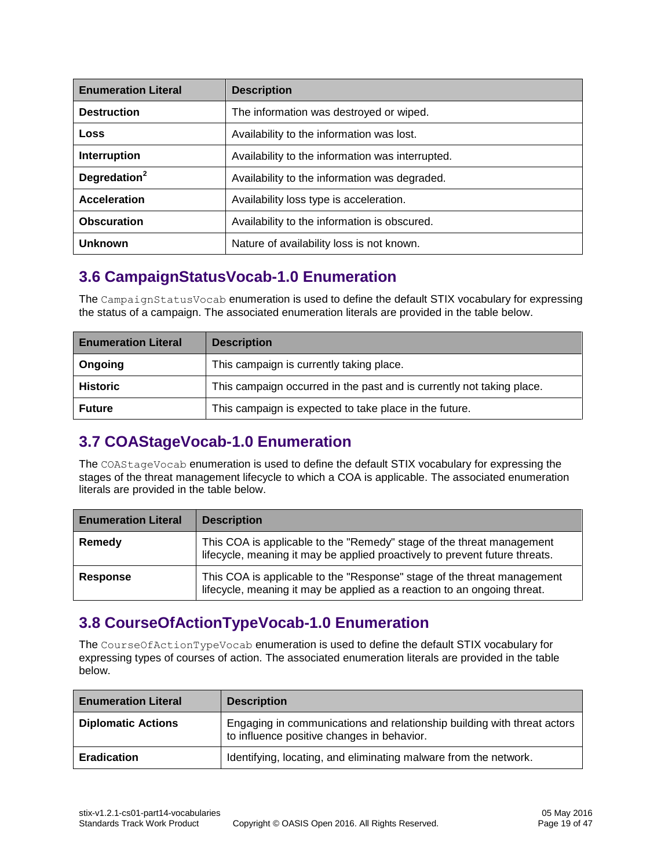| <b>Enumeration Literal</b> | <b>Description</b>                               |
|----------------------------|--------------------------------------------------|
| <b>Destruction</b>         | The information was destroyed or wiped.          |
| <b>Loss</b>                | Availability to the information was lost.        |
| Interruption               | Availability to the information was interrupted. |
| Degredation <sup>2</sup>   | Availability to the information was degraded.    |
| <b>Acceleration</b>        | Availability loss type is acceleration.          |
| <b>Obscuration</b>         | Availability to the information is obscured.     |
| <b>Unknown</b>             | Nature of availability loss is not known.        |

### <span id="page-18-0"></span>**3.6 CampaignStatusVocab-1.0 Enumeration**

The CampaignStatusVocab enumeration is used to define the default STIX vocabulary for expressing the status of a campaign. The associated enumeration literals are provided in the table below.

| <b>Enumeration Literal</b> | <b>Description</b>                                                    |
|----------------------------|-----------------------------------------------------------------------|
| Ongoing                    | This campaign is currently taking place.                              |
| <b>Historic</b>            | This campaign occurred in the past and is currently not taking place. |
| <b>Future</b>              | This campaign is expected to take place in the future.                |

### <span id="page-18-1"></span>**3.7 COAStageVocab-1.0 Enumeration**

The COAStageVocab enumeration is used to define the default STIX vocabulary for expressing the stages of the threat management lifecycle to which a COA is applicable. The associated enumeration literals are provided in the table below.

| <b>Enumeration Literal</b> | <b>Description</b>                                                                                                                                   |
|----------------------------|------------------------------------------------------------------------------------------------------------------------------------------------------|
| Remedy                     | This COA is applicable to the "Remedy" stage of the threat management<br>lifecycle, meaning it may be applied proactively to prevent future threats. |
| <b>Response</b>            | This COA is applicable to the "Response" stage of the threat management<br>lifecycle, meaning it may be applied as a reaction to an ongoing threat.  |

### <span id="page-18-2"></span>**3.8 CourseOfActionTypeVocab-1.0 Enumeration**

The CourseOfActionTypeVocab enumeration is used to define the default STIX vocabulary for expressing types of courses of action. The associated enumeration literals are provided in the table below.

| <b>Enumeration Literal</b> | <b>Description</b>                                                                                                    |
|----------------------------|-----------------------------------------------------------------------------------------------------------------------|
| <b>Diplomatic Actions</b>  | Engaging in communications and relationship building with threat actors<br>to influence positive changes in behavior. |
| <b>Eradication</b>         | Identifying, locating, and eliminating malware from the network.                                                      |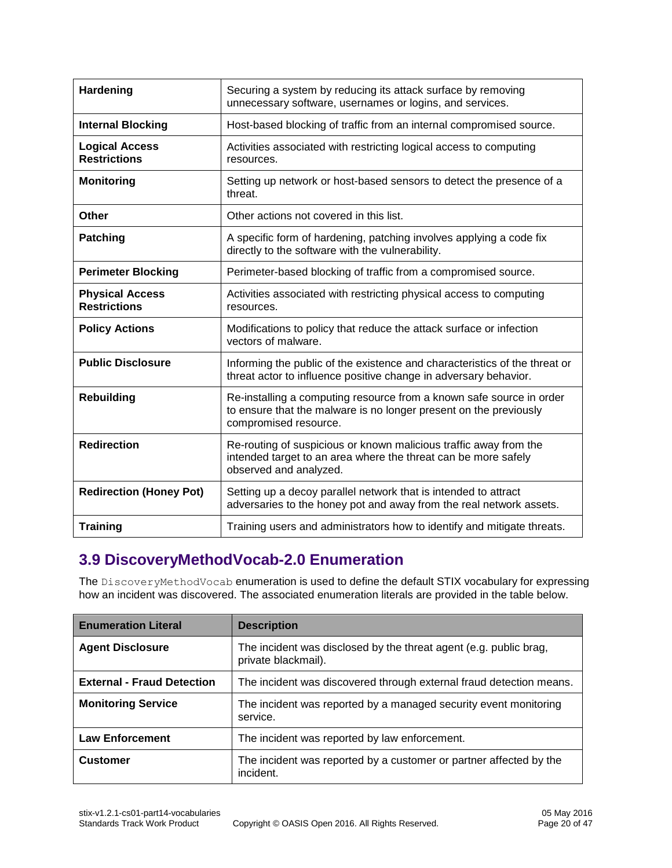| Hardening                                     | Securing a system by reducing its attack surface by removing<br>unnecessary software, usernames or logins, and services.                                           |
|-----------------------------------------------|--------------------------------------------------------------------------------------------------------------------------------------------------------------------|
| <b>Internal Blocking</b>                      | Host-based blocking of traffic from an internal compromised source.                                                                                                |
| <b>Logical Access</b><br><b>Restrictions</b>  | Activities associated with restricting logical access to computing<br>resources.                                                                                   |
| <b>Monitoring</b>                             | Setting up network or host-based sensors to detect the presence of a<br>threat.                                                                                    |
| Other                                         | Other actions not covered in this list.                                                                                                                            |
| <b>Patching</b>                               | A specific form of hardening, patching involves applying a code fix<br>directly to the software with the vulnerability.                                            |
| <b>Perimeter Blocking</b>                     | Perimeter-based blocking of traffic from a compromised source.                                                                                                     |
| <b>Physical Access</b><br><b>Restrictions</b> | Activities associated with restricting physical access to computing<br>resources.                                                                                  |
| <b>Policy Actions</b>                         | Modifications to policy that reduce the attack surface or infection<br>vectors of malware.                                                                         |
| <b>Public Disclosure</b>                      | Informing the public of the existence and characteristics of the threat or<br>threat actor to influence positive change in adversary behavior.                     |
| <b>Rebuilding</b>                             | Re-installing a computing resource from a known safe source in order<br>to ensure that the malware is no longer present on the previously<br>compromised resource. |
| <b>Redirection</b>                            | Re-routing of suspicious or known malicious traffic away from the<br>intended target to an area where the threat can be more safely<br>observed and analyzed.      |
| <b>Redirection (Honey Pot)</b>                | Setting up a decoy parallel network that is intended to attract<br>adversaries to the honey pot and away from the real network assets.                             |
| <b>Training</b>                               | Training users and administrators how to identify and mitigate threats.                                                                                            |

### <span id="page-19-0"></span>**3.9 DiscoveryMethodVocab-2.0 Enumeration**

The DiscoveryMethodVocab enumeration is used to define the default STIX vocabulary for expressing how an incident was discovered. The associated enumeration literals are provided in the table below.

| <b>Enumeration Literal</b>        | <b>Description</b>                                                                       |
|-----------------------------------|------------------------------------------------------------------------------------------|
| <b>Agent Disclosure</b>           | The incident was disclosed by the threat agent (e.g. public brag,<br>private blackmail). |
| <b>External - Fraud Detection</b> | The incident was discovered through external fraud detection means.                      |
| <b>Monitoring Service</b>         | The incident was reported by a managed security event monitoring<br>service.             |
| <b>Law Enforcement</b>            | The incident was reported by law enforcement.                                            |
| <b>Customer</b>                   | The incident was reported by a customer or partner affected by the<br>incident.          |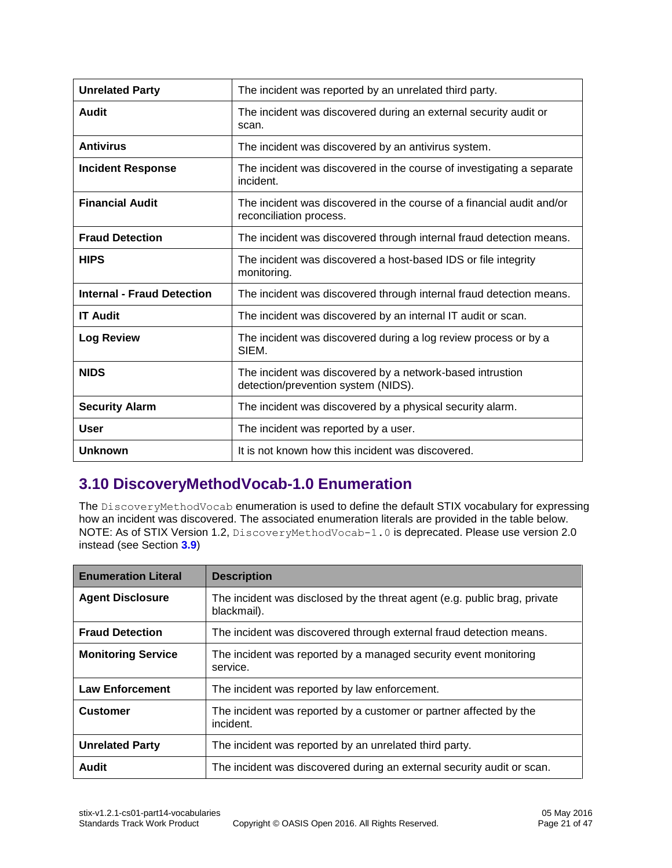| <b>Unrelated Party</b>            | The incident was reported by an unrelated third party.                                           |
|-----------------------------------|--------------------------------------------------------------------------------------------------|
| Audit                             | The incident was discovered during an external security audit or<br>scan.                        |
| <b>Antivirus</b>                  | The incident was discovered by an antivirus system.                                              |
| <b>Incident Response</b>          | The incident was discovered in the course of investigating a separate<br>incident.               |
| <b>Financial Audit</b>            | The incident was discovered in the course of a financial audit and/or<br>reconciliation process. |
| <b>Fraud Detection</b>            | The incident was discovered through internal fraud detection means.                              |
| <b>HIPS</b>                       | The incident was discovered a host-based IDS or file integrity<br>monitoring.                    |
| <b>Internal - Fraud Detection</b> | The incident was discovered through internal fraud detection means.                              |
| <b>IT Audit</b>                   | The incident was discovered by an internal IT audit or scan.                                     |
| <b>Log Review</b>                 | The incident was discovered during a log review process or by a<br>SIEM.                         |
| <b>NIDS</b>                       | The incident was discovered by a network-based intrustion<br>detection/prevention system (NIDS). |
| <b>Security Alarm</b>             | The incident was discovered by a physical security alarm.                                        |
| <b>User</b>                       | The incident was reported by a user.                                                             |
| <b>Unknown</b>                    | It is not known how this incident was discovered.                                                |

### <span id="page-20-0"></span>**3.10 DiscoveryMethodVocab-1.0 Enumeration**

The DiscoveryMethodVocab enumeration is used to define the default STIX vocabulary for expressing how an incident was discovered. The associated enumeration literals are provided in the table below. NOTE: As of STIX Version 1.2, DiscoveryMethodVocab-1.0 is deprecated. Please use version 2.0 instead (see Section **[3.9](#page-19-0)**)

| <b>Enumeration Literal</b> | <b>Description</b>                                                                       |
|----------------------------|------------------------------------------------------------------------------------------|
| <b>Agent Disclosure</b>    | The incident was disclosed by the threat agent (e.g. public brag, private<br>blackmail). |
| <b>Fraud Detection</b>     | The incident was discovered through external fraud detection means.                      |
| <b>Monitoring Service</b>  | The incident was reported by a managed security event monitoring<br>service.             |
| <b>Law Enforcement</b>     | The incident was reported by law enforcement.                                            |
| <b>Customer</b>            | The incident was reported by a customer or partner affected by the<br>incident.          |
| <b>Unrelated Party</b>     | The incident was reported by an unrelated third party.                                   |
| Audit                      | The incident was discovered during an external security audit or scan.                   |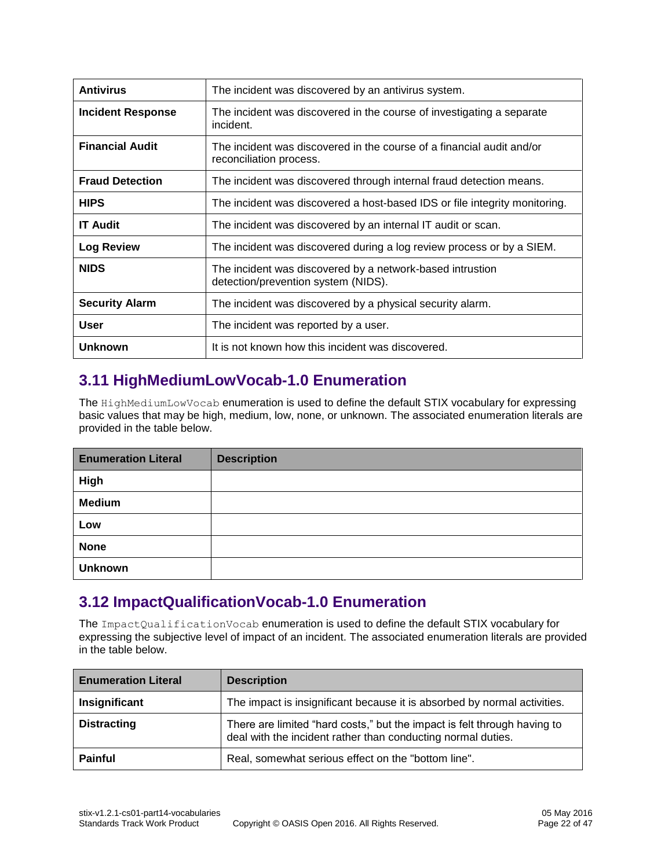| <b>Antivirus</b>         | The incident was discovered by an antivirus system.                                              |
|--------------------------|--------------------------------------------------------------------------------------------------|
| <b>Incident Response</b> | The incident was discovered in the course of investigating a separate<br>incident.               |
| <b>Financial Audit</b>   | The incident was discovered in the course of a financial audit and/or<br>reconciliation process. |
| <b>Fraud Detection</b>   | The incident was discovered through internal fraud detection means.                              |
| <b>HIPS</b>              | The incident was discovered a host-based IDS or file integrity monitoring.                       |
| <b>IT Audit</b>          | The incident was discovered by an internal IT audit or scan.                                     |
| <b>Log Review</b>        | The incident was discovered during a log review process or by a SIEM.                            |
| <b>NIDS</b>              | The incident was discovered by a network-based intrustion<br>detection/prevention system (NIDS). |
| <b>Security Alarm</b>    | The incident was discovered by a physical security alarm.                                        |
| <b>User</b>              | The incident was reported by a user.                                                             |
| <b>Unknown</b>           | It is not known how this incident was discovered.                                                |

### <span id="page-21-0"></span>**3.11 HighMediumLowVocab-1.0 Enumeration**

The HighMediumLowVocab enumeration is used to define the default STIX vocabulary for expressing basic values that may be high, medium, low, none, or unknown. The associated enumeration literals are provided in the table below.

| <b>Enumeration Literal</b> | <b>Description</b> |
|----------------------------|--------------------|
| High                       |                    |
| <b>Medium</b>              |                    |
| Low                        |                    |
| <b>None</b>                |                    |
| <b>Unknown</b>             |                    |

### <span id="page-21-1"></span>**3.12 ImpactQualificationVocab-1.0 Enumeration**

The ImpactQualificationVocab enumeration is used to define the default STIX vocabulary for expressing the subjective level of impact of an incident. The associated enumeration literals are provided in the table below.

| <b>Enumeration Literal</b> | <b>Description</b>                                                                                                                       |
|----------------------------|------------------------------------------------------------------------------------------------------------------------------------------|
| Insignificant              | The impact is insignificant because it is absorbed by normal activities.                                                                 |
| <b>Distracting</b>         | There are limited "hard costs," but the impact is felt through having to<br>deal with the incident rather than conducting normal duties. |
| <b>Painful</b>             | Real, somewhat serious effect on the "bottom line".                                                                                      |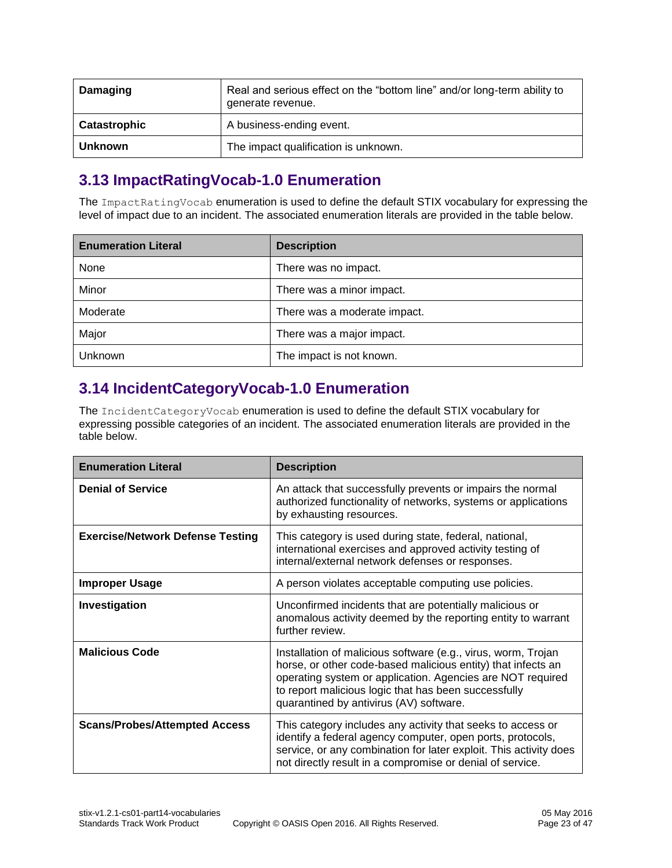| Damaging     | Real and serious effect on the "bottom line" and/or long-term ability to<br>generate revenue. |
|--------------|-----------------------------------------------------------------------------------------------|
| Catastrophic | A business-ending event.                                                                      |
| Unknown      | The impact qualification is unknown.                                                          |

### <span id="page-22-0"></span>**3.13 ImpactRatingVocab-1.0 Enumeration**

The ImpactRatingVocab enumeration is used to define the default STIX vocabulary for expressing the level of impact due to an incident. The associated enumeration literals are provided in the table below.

| <b>Enumeration Literal</b> | <b>Description</b>           |  |
|----------------------------|------------------------------|--|
| None                       | There was no impact.         |  |
| Minor                      | There was a minor impact.    |  |
| Moderate                   | There was a moderate impact. |  |
| Major                      | There was a major impact.    |  |
| Unknown                    | The impact is not known.     |  |

### <span id="page-22-1"></span>**3.14 IncidentCategoryVocab-1.0 Enumeration**

The IncidentCategoryVocab enumeration is used to define the default STIX vocabulary for expressing possible categories of an incident. The associated enumeration literals are provided in the table below.

| <b>Enumeration Literal</b>              | <b>Description</b>                                                                                                                                                                                                                                                                             |
|-----------------------------------------|------------------------------------------------------------------------------------------------------------------------------------------------------------------------------------------------------------------------------------------------------------------------------------------------|
| <b>Denial of Service</b>                | An attack that successfully prevents or impairs the normal<br>authorized functionality of networks, systems or applications<br>by exhausting resources.                                                                                                                                        |
| <b>Exercise/Network Defense Testing</b> | This category is used during state, federal, national,<br>international exercises and approved activity testing of<br>internal/external network defenses or responses.                                                                                                                         |
| <b>Improper Usage</b>                   | A person violates acceptable computing use policies.                                                                                                                                                                                                                                           |
| Investigation                           | Unconfirmed incidents that are potentially malicious or<br>anomalous activity deemed by the reporting entity to warrant<br>further review.                                                                                                                                                     |
| <b>Malicious Code</b>                   | Installation of malicious software (e.g., virus, worm, Trojan<br>horse, or other code-based malicious entity) that infects an<br>operating system or application. Agencies are NOT required<br>to report malicious logic that has been successfully<br>quarantined by antivirus (AV) software. |
| <b>Scans/Probes/Attempted Access</b>    | This category includes any activity that seeks to access or<br>identify a federal agency computer, open ports, protocols,<br>service, or any combination for later exploit. This activity does<br>not directly result in a compromise or denial of service.                                    |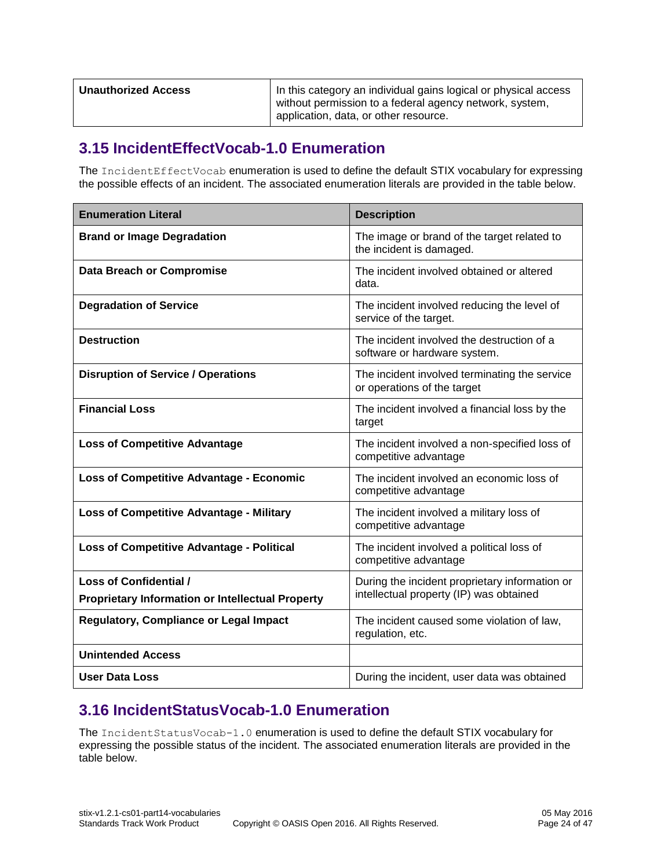| <b>Unauthorized Access</b> | In this category an individual gains logical or physical access<br>without permission to a federal agency network, system, |
|----------------------------|----------------------------------------------------------------------------------------------------------------------------|
|                            | application, data, or other resource.                                                                                      |

#### <span id="page-23-0"></span>**3.15 IncidentEffectVocab-1.0 Enumeration**

The IncidentEffectVocab enumeration is used to define the default STIX vocabulary for expressing the possible effects of an incident. The associated enumeration literals are provided in the table below.

| <b>Enumeration Literal</b>                                                               | <b>Description</b>                                                                        |
|------------------------------------------------------------------------------------------|-------------------------------------------------------------------------------------------|
| <b>Brand or Image Degradation</b>                                                        | The image or brand of the target related to<br>the incident is damaged.                   |
| <b>Data Breach or Compromise</b>                                                         | The incident involved obtained or altered<br>data.                                        |
| <b>Degradation of Service</b>                                                            | The incident involved reducing the level of<br>service of the target.                     |
| <b>Destruction</b>                                                                       | The incident involved the destruction of a<br>software or hardware system.                |
| <b>Disruption of Service / Operations</b>                                                | The incident involved terminating the service<br>or operations of the target              |
| <b>Financial Loss</b>                                                                    | The incident involved a financial loss by the<br>target                                   |
| <b>Loss of Competitive Advantage</b>                                                     | The incident involved a non-specified loss of<br>competitive advantage                    |
| <b>Loss of Competitive Advantage - Economic</b>                                          | The incident involved an economic loss of<br>competitive advantage                        |
| <b>Loss of Competitive Advantage - Military</b>                                          | The incident involved a military loss of<br>competitive advantage                         |
| <b>Loss of Competitive Advantage - Political</b>                                         | The incident involved a political loss of<br>competitive advantage                        |
| <b>Loss of Confidential /</b><br><b>Proprietary Information or Intellectual Property</b> | During the incident proprietary information or<br>intellectual property (IP) was obtained |
| <b>Regulatory, Compliance or Legal Impact</b>                                            | The incident caused some violation of law,<br>regulation, etc.                            |
| <b>Unintended Access</b>                                                                 |                                                                                           |
| <b>User Data Loss</b>                                                                    | During the incident, user data was obtained                                               |

### <span id="page-23-1"></span>**3.16 IncidentStatusVocab-1.0 Enumeration**

The IncidentStatusVocab-1.0 enumeration is used to define the default STIX vocabulary for expressing the possible status of the incident. The associated enumeration literals are provided in the table below.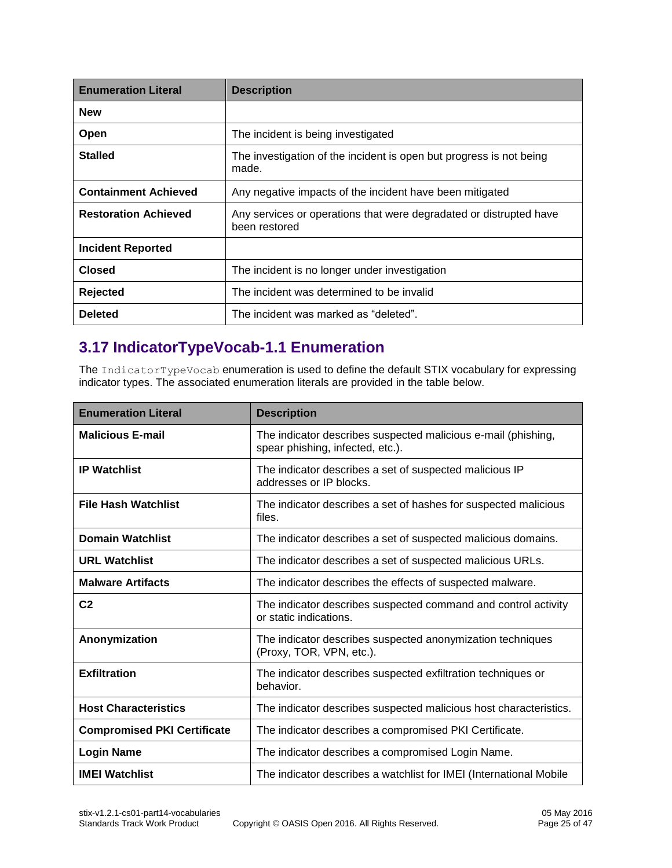| <b>Enumeration Literal</b>  | <b>Description</b>                                                                  |  |
|-----------------------------|-------------------------------------------------------------------------------------|--|
| <b>New</b>                  |                                                                                     |  |
| <b>Open</b>                 | The incident is being investigated                                                  |  |
| <b>Stalled</b>              | The investigation of the incident is open but progress is not being<br>made.        |  |
| <b>Containment Achieved</b> | Any negative impacts of the incident have been mitigated                            |  |
| <b>Restoration Achieved</b> | Any services or operations that were degradated or distrupted have<br>been restored |  |
| <b>Incident Reported</b>    |                                                                                     |  |
| <b>Closed</b>               | The incident is no longer under investigation                                       |  |
| Rejected                    | The incident was determined to be invalid                                           |  |
| <b>Deleted</b>              | The incident was marked as "deleted".                                               |  |

### <span id="page-24-0"></span>**3.17 IndicatorTypeVocab-1.1 Enumeration**

The IndicatorTypeVocab enumeration is used to define the default STIX vocabulary for expressing indicator types. The associated enumeration literals are provided in the table below.

| <b>Enumeration Literal</b>         | <b>Description</b>                                                                                |
|------------------------------------|---------------------------------------------------------------------------------------------------|
| <b>Malicious E-mail</b>            | The indicator describes suspected malicious e-mail (phishing,<br>spear phishing, infected, etc.). |
| <b>IP Watchlist</b>                | The indicator describes a set of suspected malicious IP<br>addresses or IP blocks.                |
| <b>File Hash Watchlist</b>         | The indicator describes a set of hashes for suspected malicious<br>files.                         |
| <b>Domain Watchlist</b>            | The indicator describes a set of suspected malicious domains.                                     |
| <b>URL Watchlist</b>               | The indicator describes a set of suspected malicious URLs.                                        |
| <b>Malware Artifacts</b>           | The indicator describes the effects of suspected malware.                                         |
| C <sub>2</sub>                     | The indicator describes suspected command and control activity<br>or static indications.          |
| Anonymization                      | The indicator describes suspected anonymization techniques<br>(Proxy, TOR, VPN, etc.).            |
| <b>Exfiltration</b>                | The indicator describes suspected exfiltration techniques or<br>behavior.                         |
| <b>Host Characteristics</b>        | The indicator describes suspected malicious host characteristics.                                 |
| <b>Compromised PKI Certificate</b> | The indicator describes a compromised PKI Certificate.                                            |
| <b>Login Name</b>                  | The indicator describes a compromised Login Name.                                                 |
| <b>IMEI Watchlist</b>              | The indicator describes a watchlist for IMEI (International Mobile                                |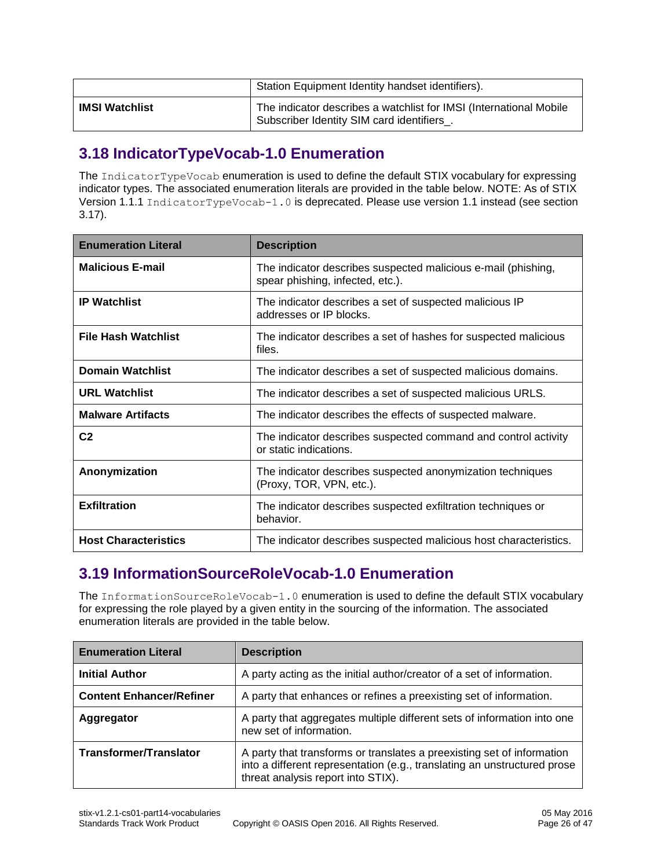|                       | Station Equipment Identity handset identifiers).                                                                 |
|-----------------------|------------------------------------------------------------------------------------------------------------------|
| <b>IMSI Watchlist</b> | The indicator describes a watchlist for IMSI (International Mobile<br>Subscriber Identity SIM card identifiers_. |

#### <span id="page-25-0"></span>**3.18 IndicatorTypeVocab-1.0 Enumeration**

The IndicatorTypeVocab enumeration is used to define the default STIX vocabulary for expressing indicator types. The associated enumeration literals are provided in the table below. NOTE: As of STIX Version 1.1.1 IndicatorTypeVocab-1.0 is deprecated. Please use version 1.1 instead (see section [3.17\)](#page-24-0).

| <b>Enumeration Literal</b>  | <b>Description</b>                                                                                |
|-----------------------------|---------------------------------------------------------------------------------------------------|
| <b>Malicious E-mail</b>     | The indicator describes suspected malicious e-mail (phishing,<br>spear phishing, infected, etc.). |
| <b>IP Watchlist</b>         | The indicator describes a set of suspected malicious IP<br>addresses or IP blocks.                |
| <b>File Hash Watchlist</b>  | The indicator describes a set of hashes for suspected malicious<br>files.                         |
| <b>Domain Watchlist</b>     | The indicator describes a set of suspected malicious domains.                                     |
| <b>URL Watchlist</b>        | The indicator describes a set of suspected malicious URLS.                                        |
| <b>Malware Artifacts</b>    | The indicator describes the effects of suspected malware.                                         |
| C <sub>2</sub>              | The indicator describes suspected command and control activity<br>or static indications.          |
| Anonymization               | The indicator describes suspected anonymization techniques<br>(Proxy, TOR, VPN, etc.).            |
| <b>Exfiltration</b>         | The indicator describes suspected exfiltration techniques or<br>behavior.                         |
| <b>Host Characteristics</b> | The indicator describes suspected malicious host characteristics.                                 |

### <span id="page-25-1"></span>**3.19 InformationSourceRoleVocab-1.0 Enumeration**

The InformationSourceRoleVocab-1.0 enumeration is used to define the default STIX vocabulary for expressing the role played by a given entity in the sourcing of the information. The associated enumeration literals are provided in the table below.

| <b>Enumeration Literal</b>      | <b>Description</b>                                                                                                                                                                       |
|---------------------------------|------------------------------------------------------------------------------------------------------------------------------------------------------------------------------------------|
| <b>Initial Author</b>           | A party acting as the initial author/creator of a set of information.                                                                                                                    |
| <b>Content Enhancer/Refiner</b> | A party that enhances or refines a preexisting set of information.                                                                                                                       |
| Aggregator                      | A party that aggregates multiple different sets of information into one<br>new set of information.                                                                                       |
| Transformer/Translator          | A party that transforms or translates a preexisting set of information<br>into a different representation (e.g., translating an unstructured prose<br>threat analysis report into STIX). |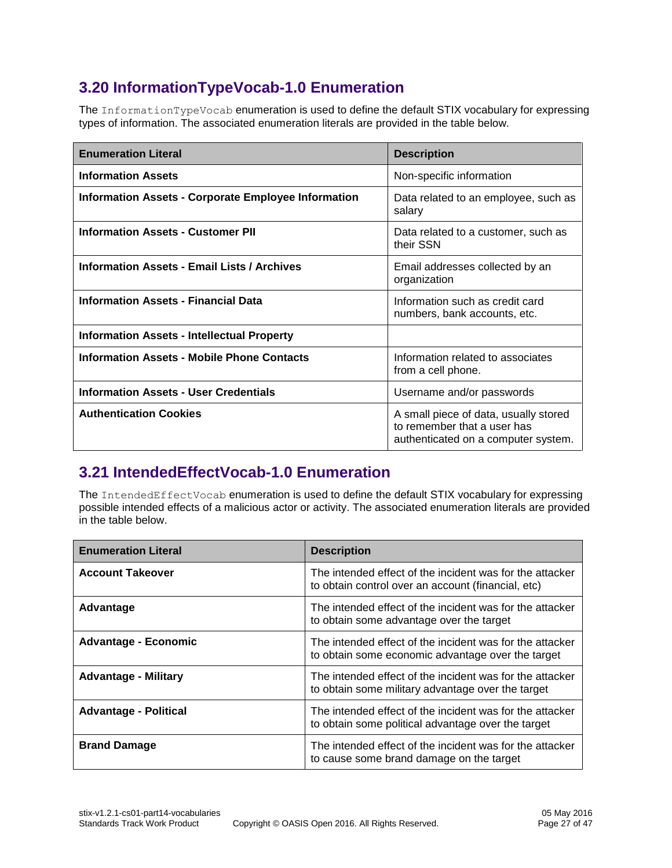### <span id="page-26-0"></span>**3.20 InformationTypeVocab-1.0 Enumeration**

The InformationTypeVocab enumeration is used to define the default STIX vocabulary for expressing types of information. The associated enumeration literals are provided in the table below.

| <b>Enumeration Literal</b>                                 | <b>Description</b>                                                                                          |
|------------------------------------------------------------|-------------------------------------------------------------------------------------------------------------|
| <b>Information Assets</b>                                  | Non-specific information                                                                                    |
| <b>Information Assets - Corporate Employee Information</b> | Data related to an employee, such as<br>salary                                                              |
| <b>Information Assets - Customer PII</b>                   | Data related to a customer, such as<br>their SSN                                                            |
| <b>Information Assets - Email Lists / Archives</b>         | Email addresses collected by an<br>organization                                                             |
| <b>Information Assets - Financial Data</b>                 | Information such as credit card<br>numbers, bank accounts, etc.                                             |
| <b>Information Assets - Intellectual Property</b>          |                                                                                                             |
| <b>Information Assets - Mobile Phone Contacts</b>          | Information related to associates<br>from a cell phone.                                                     |
| <b>Information Assets - User Credentials</b>               | Username and/or passwords                                                                                   |
| <b>Authentication Cookies</b>                              | A small piece of data, usually stored<br>to remember that a user has<br>authenticated on a computer system. |

### <span id="page-26-1"></span>**3.21 IntendedEffectVocab-1.0 Enumeration**

The IntendedEffectVocab enumeration is used to define the default STIX vocabulary for expressing possible intended effects of a malicious actor or activity. The associated enumeration literals are provided in the table below.

| <b>Enumeration Literal</b>   | <b>Description</b>                                                                                             |
|------------------------------|----------------------------------------------------------------------------------------------------------------|
| <b>Account Takeover</b>      | The intended effect of the incident was for the attacker<br>to obtain control over an account (financial, etc) |
| Advantage                    | The intended effect of the incident was for the attacker<br>to obtain some advantage over the target           |
| <b>Advantage - Economic</b>  | The intended effect of the incident was for the attacker<br>to obtain some economic advantage over the target  |
| <b>Advantage - Military</b>  | The intended effect of the incident was for the attacker<br>to obtain some military advantage over the target  |
| <b>Advantage - Political</b> | The intended effect of the incident was for the attacker<br>to obtain some political advantage over the target |
| <b>Brand Damage</b>          | The intended effect of the incident was for the attacker<br>to cause some brand damage on the target           |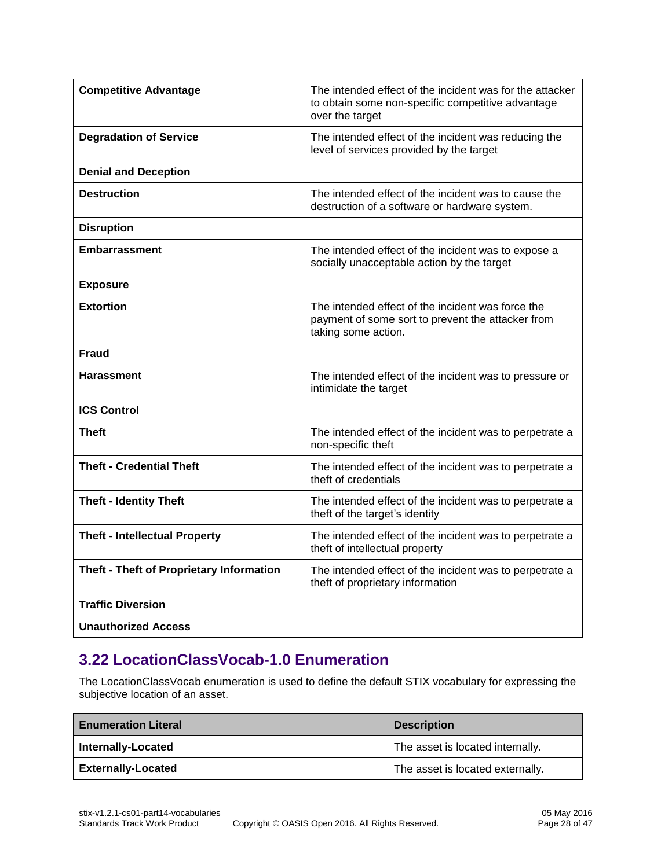| <b>Competitive Advantage</b>             | The intended effect of the incident was for the attacker<br>to obtain some non-specific competitive advantage<br>over the target |
|------------------------------------------|----------------------------------------------------------------------------------------------------------------------------------|
| <b>Degradation of Service</b>            | The intended effect of the incident was reducing the<br>level of services provided by the target                                 |
| <b>Denial and Deception</b>              |                                                                                                                                  |
| <b>Destruction</b>                       | The intended effect of the incident was to cause the<br>destruction of a software or hardware system.                            |
| <b>Disruption</b>                        |                                                                                                                                  |
| <b>Embarrassment</b>                     | The intended effect of the incident was to expose a<br>socially unacceptable action by the target                                |
| <b>Exposure</b>                          |                                                                                                                                  |
| <b>Extortion</b>                         | The intended effect of the incident was force the<br>payment of some sort to prevent the attacker from<br>taking some action.    |
| Fraud                                    |                                                                                                                                  |
| <b>Harassment</b>                        | The intended effect of the incident was to pressure or<br>intimidate the target                                                  |
| <b>ICS Control</b>                       |                                                                                                                                  |
| <b>Theft</b>                             | The intended effect of the incident was to perpetrate a<br>non-specific theft                                                    |
| <b>Theft - Credential Theft</b>          | The intended effect of the incident was to perpetrate a<br>theft of credentials                                                  |
| <b>Theft - Identity Theft</b>            | The intended effect of the incident was to perpetrate a<br>theft of the target's identity                                        |
| <b>Theft - Intellectual Property</b>     | The intended effect of the incident was to perpetrate a<br>theft of intellectual property                                        |
| Theft - Theft of Proprietary Information | The intended effect of the incident was to perpetrate a<br>theft of proprietary information                                      |
| <b>Traffic Diversion</b>                 |                                                                                                                                  |
| <b>Unauthorized Access</b>               |                                                                                                                                  |

#### <span id="page-27-0"></span>**3.22 LocationClassVocab-1.0 Enumeration**

The LocationClassVocab enumeration is used to define the default STIX vocabulary for expressing the subjective location of an asset.

| <b>Enumeration Literal</b> | <b>Description</b>               |
|----------------------------|----------------------------------|
| <b>Internally-Located</b>  | The asset is located internally. |
| <b>Externally-Located</b>  | The asset is located externally. |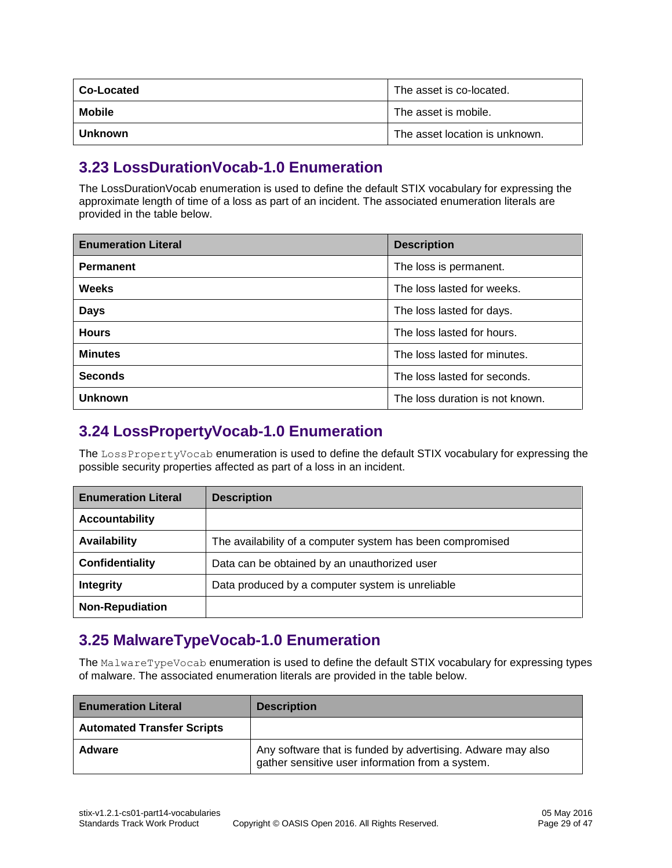| Co-Located    | The asset is co-located.       |
|---------------|--------------------------------|
| <b>Mobile</b> | The asset is mobile.           |
| Unknown       | The asset location is unknown. |

### <span id="page-28-0"></span>**3.23 LossDurationVocab-1.0 Enumeration**

The LossDurationVocab enumeration is used to define the default STIX vocabulary for expressing the approximate length of time of a loss as part of an incident. The associated enumeration literals are provided in the table below.

| <b>Enumeration Literal</b> | <b>Description</b>              |
|----------------------------|---------------------------------|
| <b>Permanent</b>           | The loss is permanent.          |
| <b>Weeks</b>               | The loss lasted for weeks.      |
| <b>Days</b>                | The loss lasted for days.       |
| <b>Hours</b>               | The loss lasted for hours.      |
| <b>Minutes</b>             | The loss lasted for minutes.    |
| <b>Seconds</b>             | The loss lasted for seconds.    |
| <b>Unknown</b>             | The loss duration is not known. |

#### <span id="page-28-1"></span>**3.24 LossPropertyVocab-1.0 Enumeration**

The LossPropertyVocab enumeration is used to define the default STIX vocabulary for expressing the possible security properties affected as part of a loss in an incident.

| <b>Enumeration Literal</b> | <b>Description</b>                                         |
|----------------------------|------------------------------------------------------------|
| <b>Accountability</b>      |                                                            |
| <b>Availability</b>        | The availability of a computer system has been compromised |
| Confidentiality            | Data can be obtained by an unauthorized user               |
| <b>Integrity</b>           | Data produced by a computer system is unreliable           |
| <b>Non-Repudiation</b>     |                                                            |

### <span id="page-28-2"></span>**3.25 MalwareTypeVocab-1.0 Enumeration**

The MalwareTypeVocab enumeration is used to define the default STIX vocabulary for expressing types of malware. The associated enumeration literals are provided in the table below.

| <b>Enumeration Literal</b>        | <b>Description</b>                                                                                              |
|-----------------------------------|-----------------------------------------------------------------------------------------------------------------|
| <b>Automated Transfer Scripts</b> |                                                                                                                 |
| <b>Adware</b>                     | Any software that is funded by advertising. Adware may also<br>gather sensitive user information from a system. |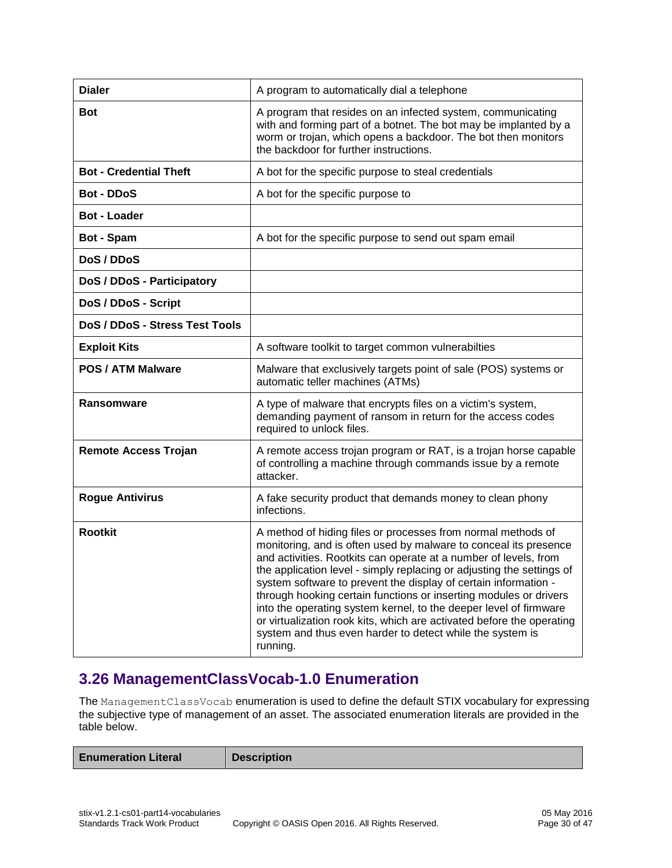| <b>Dialer</b>                  | A program to automatically dial a telephone                                                                                                                                                                                                                                                                                                                                                                                                                                                                                                                                                                                                  |
|--------------------------------|----------------------------------------------------------------------------------------------------------------------------------------------------------------------------------------------------------------------------------------------------------------------------------------------------------------------------------------------------------------------------------------------------------------------------------------------------------------------------------------------------------------------------------------------------------------------------------------------------------------------------------------------|
| Bot                            | A program that resides on an infected system, communicating<br>with and forming part of a botnet. The bot may be implanted by a<br>worm or trojan, which opens a backdoor. The bot then monitors<br>the backdoor for further instructions.                                                                                                                                                                                                                                                                                                                                                                                                   |
| <b>Bot - Credential Theft</b>  | A bot for the specific purpose to steal credentials                                                                                                                                                                                                                                                                                                                                                                                                                                                                                                                                                                                          |
| <b>Bot - DDoS</b>              | A bot for the specific purpose to                                                                                                                                                                                                                                                                                                                                                                                                                                                                                                                                                                                                            |
| <b>Bot - Loader</b>            |                                                                                                                                                                                                                                                                                                                                                                                                                                                                                                                                                                                                                                              |
| <b>Bot - Spam</b>              | A bot for the specific purpose to send out spam email                                                                                                                                                                                                                                                                                                                                                                                                                                                                                                                                                                                        |
| DoS / DDoS                     |                                                                                                                                                                                                                                                                                                                                                                                                                                                                                                                                                                                                                                              |
| DoS / DDoS - Participatory     |                                                                                                                                                                                                                                                                                                                                                                                                                                                                                                                                                                                                                                              |
| DoS / DDoS - Script            |                                                                                                                                                                                                                                                                                                                                                                                                                                                                                                                                                                                                                                              |
| DoS / DDoS - Stress Test Tools |                                                                                                                                                                                                                                                                                                                                                                                                                                                                                                                                                                                                                                              |
| <b>Exploit Kits</b>            | A software toolkit to target common vulnerabilties                                                                                                                                                                                                                                                                                                                                                                                                                                                                                                                                                                                           |
| <b>POS / ATM Malware</b>       | Malware that exclusively targets point of sale (POS) systems or<br>automatic teller machines (ATMs)                                                                                                                                                                                                                                                                                                                                                                                                                                                                                                                                          |
| Ransomware                     | A type of malware that encrypts files on a victim's system,<br>demanding payment of ransom in return for the access codes<br>required to unlock files.                                                                                                                                                                                                                                                                                                                                                                                                                                                                                       |
| <b>Remote Access Trojan</b>    | A remote access trojan program or RAT, is a trojan horse capable<br>of controlling a machine through commands issue by a remote<br>attacker.                                                                                                                                                                                                                                                                                                                                                                                                                                                                                                 |
| <b>Rogue Antivirus</b>         | A fake security product that demands money to clean phony<br>infections.                                                                                                                                                                                                                                                                                                                                                                                                                                                                                                                                                                     |
| <b>Rootkit</b>                 | A method of hiding files or processes from normal methods of<br>monitoring, and is often used by malware to conceal its presence<br>and activities. Rootkits can operate at a number of levels, from<br>the application level - simply replacing or adjusting the settings of<br>system software to prevent the display of certain information -<br>through hooking certain functions or inserting modules or drivers<br>into the operating system kernel, to the deeper level of firmware<br>or virtualization rook kits, which are activated before the operating<br>system and thus even harder to detect while the system is<br>running. |

#### <span id="page-29-0"></span>**3.26 ManagementClassVocab-1.0 Enumeration**

The ManagementClassVocab enumeration is used to define the default STIX vocabulary for expressing the subjective type of management of an asset. The associated enumeration literals are provided in the table below.

| <b>Enumeration Literal</b> | <b>Description</b> |
|----------------------------|--------------------|
|----------------------------|--------------------|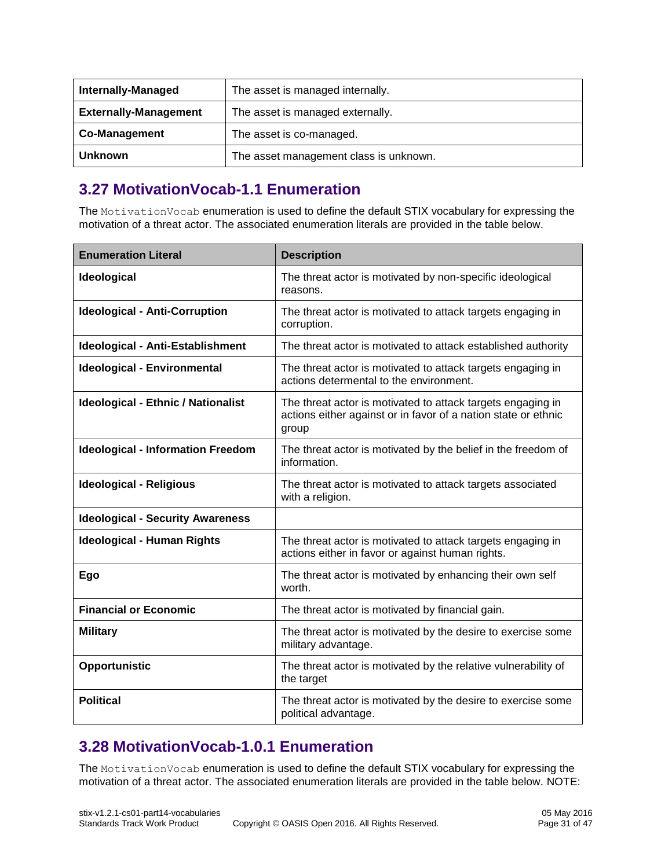| <b>Internally-Managed</b>    | The asset is managed internally.       |  |
|------------------------------|----------------------------------------|--|
| <b>Externally-Management</b> | The asset is managed externally.       |  |
| <b>Co-Management</b>         | The asset is co-managed.               |  |
| <b>Unknown</b>               | The asset management class is unknown. |  |

### <span id="page-30-0"></span>**3.27 MotivationVocab-1.1 Enumeration**

The MotivationVocab enumeration is used to define the default STIX vocabulary for expressing the motivation of a threat actor. The associated enumeration literals are provided in the table below.

| <b>Enumeration Literal</b>                | <b>Description</b>                                                                                                                     |
|-------------------------------------------|----------------------------------------------------------------------------------------------------------------------------------------|
| Ideological                               | The threat actor is motivated by non-specific ideological<br>reasons.                                                                  |
| <b>Ideological - Anti-Corruption</b>      | The threat actor is motivated to attack targets engaging in<br>corruption.                                                             |
| Ideological - Anti-Establishment          | The threat actor is motivated to attack established authority                                                                          |
| <b>Ideological - Environmental</b>        | The threat actor is motivated to attack targets engaging in<br>actions determental to the environment.                                 |
| <b>Ideological - Ethnic / Nationalist</b> | The threat actor is motivated to attack targets engaging in<br>actions either against or in favor of a nation state or ethnic<br>group |
| <b>Ideological - Information Freedom</b>  | The threat actor is motivated by the belief in the freedom of<br>information.                                                          |
| <b>Ideological - Religious</b>            | The threat actor is motivated to attack targets associated<br>with a religion.                                                         |
| <b>Ideological - Security Awareness</b>   |                                                                                                                                        |
| <b>Ideological - Human Rights</b>         | The threat actor is motivated to attack targets engaging in<br>actions either in favor or against human rights.                        |
| Ego                                       | The threat actor is motivated by enhancing their own self<br>worth.                                                                    |
| <b>Financial or Economic</b>              | The threat actor is motivated by financial gain.                                                                                       |
| <b>Military</b>                           | The threat actor is motivated by the desire to exercise some<br>military advantage.                                                    |
| Opportunistic                             | The threat actor is motivated by the relative vulnerability of<br>the target                                                           |
| <b>Political</b>                          | The threat actor is motivated by the desire to exercise some<br>political advantage.                                                   |

### <span id="page-30-1"></span>**3.28 MotivationVocab-1.0.1 Enumeration**

The MotivationVocab enumeration is used to define the default STIX vocabulary for expressing the motivation of a threat actor. The associated enumeration literals are provided in the table below. NOTE: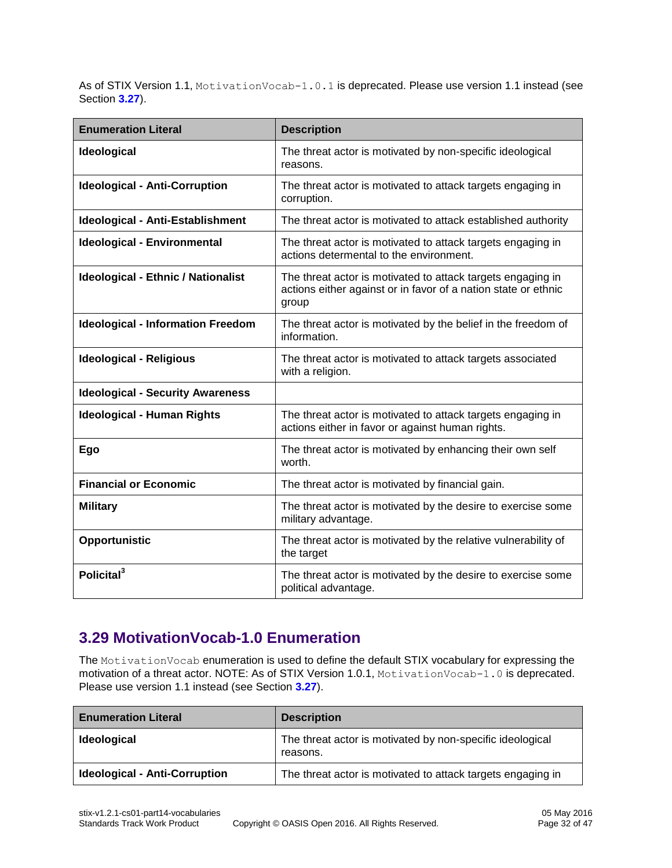As of STIX Version 1.1, MotivationVocab-1.0.1 is deprecated. Please use version 1.1 instead (see Section **[3.27](#page-30-0)**).

| <b>Enumeration Literal</b>                | <b>Description</b>                                                                                                                     |
|-------------------------------------------|----------------------------------------------------------------------------------------------------------------------------------------|
| Ideological                               | The threat actor is motivated by non-specific ideological<br>reasons.                                                                  |
| <b>Ideological - Anti-Corruption</b>      | The threat actor is motivated to attack targets engaging in<br>corruption.                                                             |
| Ideological - Anti-Establishment          | The threat actor is motivated to attack established authority                                                                          |
| <b>Ideological - Environmental</b>        | The threat actor is motivated to attack targets engaging in<br>actions determental to the environment.                                 |
| <b>Ideological - Ethnic / Nationalist</b> | The threat actor is motivated to attack targets engaging in<br>actions either against or in favor of a nation state or ethnic<br>group |
| <b>Ideological - Information Freedom</b>  | The threat actor is motivated by the belief in the freedom of<br>information.                                                          |
| <b>Ideological - Religious</b>            | The threat actor is motivated to attack targets associated<br>with a religion.                                                         |
| <b>Ideological - Security Awareness</b>   |                                                                                                                                        |
| <b>Ideological - Human Rights</b>         | The threat actor is motivated to attack targets engaging in<br>actions either in favor or against human rights.                        |
| Ego                                       | The threat actor is motivated by enhancing their own self<br>worth.                                                                    |
| <b>Financial or Economic</b>              | The threat actor is motivated by financial gain.                                                                                       |
| <b>Military</b>                           | The threat actor is motivated by the desire to exercise some<br>military advantage.                                                    |
| Opportunistic                             | The threat actor is motivated by the relative vulnerability of<br>the target                                                           |
| Policital <sup>3</sup>                    | The threat actor is motivated by the desire to exercise some<br>political advantage.                                                   |

### <span id="page-31-0"></span>**3.29 MotivationVocab-1.0 Enumeration**

The MotivationVocab enumeration is used to define the default STIX vocabulary for expressing the motivation of a threat actor. NOTE: As of STIX Version 1.0.1, MotivationVocab-1.0 is deprecated. Please use version 1.1 instead (see Section **[3.27](#page-30-0)**).

| <b>Enumeration Literal</b>           | <b>Description</b>                                                    |
|--------------------------------------|-----------------------------------------------------------------------|
| <b>Ideological</b>                   | The threat actor is motivated by non-specific ideological<br>reasons. |
| <b>Ideological - Anti-Corruption</b> | The threat actor is motivated to attack targets engaging in           |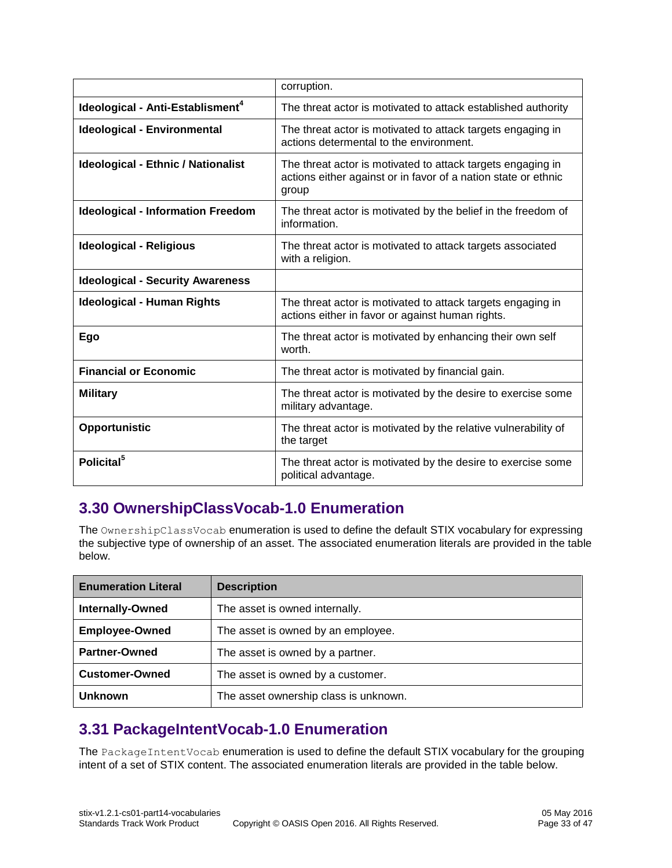|                                              | corruption.                                                                                                                            |
|----------------------------------------------|----------------------------------------------------------------------------------------------------------------------------------------|
| Ideological - Anti-Establisment <sup>4</sup> | The threat actor is motivated to attack established authority                                                                          |
| <b>Ideological - Environmental</b>           | The threat actor is motivated to attack targets engaging in<br>actions determental to the environment.                                 |
| <b>Ideological - Ethnic / Nationalist</b>    | The threat actor is motivated to attack targets engaging in<br>actions either against or in favor of a nation state or ethnic<br>group |
| <b>Ideological - Information Freedom</b>     | The threat actor is motivated by the belief in the freedom of<br>information.                                                          |
| Ideological - Religious                      | The threat actor is motivated to attack targets associated<br>with a religion.                                                         |
| <b>Ideological - Security Awareness</b>      |                                                                                                                                        |
| <b>Ideological - Human Rights</b>            | The threat actor is motivated to attack targets engaging in<br>actions either in favor or against human rights.                        |
| Ego                                          | The threat actor is motivated by enhancing their own self<br>worth.                                                                    |
| <b>Financial or Economic</b>                 | The threat actor is motivated by financial gain.                                                                                       |
| <b>Military</b>                              | The threat actor is motivated by the desire to exercise some<br>military advantage.                                                    |
| Opportunistic                                | The threat actor is motivated by the relative vulnerability of<br>the target                                                           |
| Policital <sup>5</sup>                       | The threat actor is motivated by the desire to exercise some<br>political advantage.                                                   |

#### <span id="page-32-0"></span>**3.30 OwnershipClassVocab-1.0 Enumeration**

The OwnershipClassVocab enumeration is used to define the default STIX vocabulary for expressing the subjective type of ownership of an asset. The associated enumeration literals are provided in the table below.

| <b>Enumeration Literal</b> | <b>Description</b>                    |
|----------------------------|---------------------------------------|
| <b>Internally-Owned</b>    | The asset is owned internally.        |
| <b>Employee-Owned</b>      | The asset is owned by an employee.    |
| <b>Partner-Owned</b>       | The asset is owned by a partner.      |
| <b>Customer-Owned</b>      | The asset is owned by a customer.     |
| <b>Unknown</b>             | The asset ownership class is unknown. |

### <span id="page-32-1"></span>**3.31 PackageIntentVocab-1.0 Enumeration**

The PackageIntentVocab enumeration is used to define the default STIX vocabulary for the grouping intent of a set of STIX content. The associated enumeration literals are provided in the table below.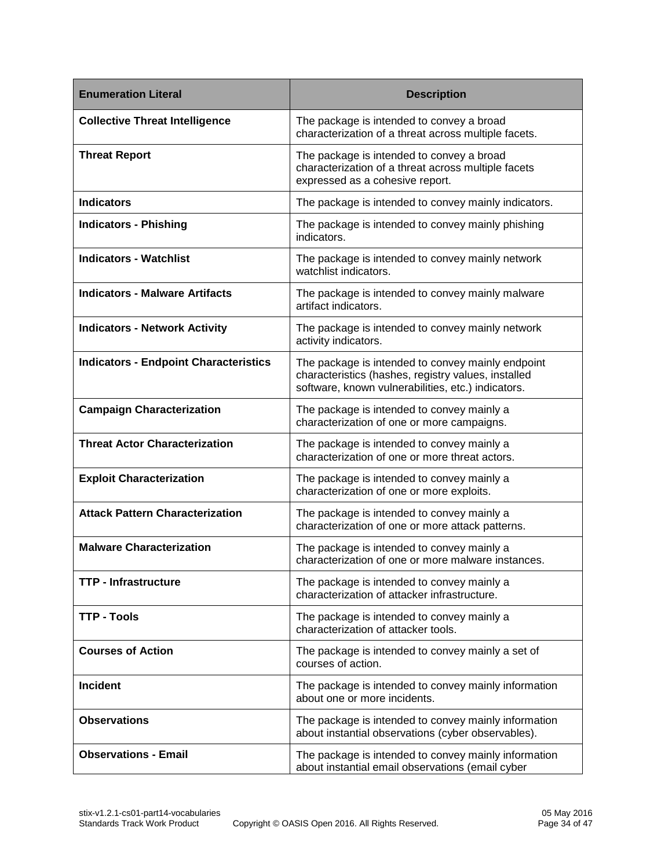| <b>Enumeration Literal</b>                   | <b>Description</b>                                                                                                                                             |
|----------------------------------------------|----------------------------------------------------------------------------------------------------------------------------------------------------------------|
| <b>Collective Threat Intelligence</b>        | The package is intended to convey a broad<br>characterization of a threat across multiple facets.                                                              |
| <b>Threat Report</b>                         | The package is intended to convey a broad<br>characterization of a threat across multiple facets<br>expressed as a cohesive report.                            |
| <b>Indicators</b>                            | The package is intended to convey mainly indicators.                                                                                                           |
| <b>Indicators - Phishing</b>                 | The package is intended to convey mainly phishing<br>indicators.                                                                                               |
| <b>Indicators - Watchlist</b>                | The package is intended to convey mainly network<br>watchlist indicators.                                                                                      |
| <b>Indicators - Malware Artifacts</b>        | The package is intended to convey mainly malware<br>artifact indicators.                                                                                       |
| <b>Indicators - Network Activity</b>         | The package is intended to convey mainly network<br>activity indicators.                                                                                       |
| <b>Indicators - Endpoint Characteristics</b> | The package is intended to convey mainly endpoint<br>characteristics (hashes, registry values, installed<br>software, known vulnerabilities, etc.) indicators. |
| <b>Campaign Characterization</b>             | The package is intended to convey mainly a<br>characterization of one or more campaigns.                                                                       |
| <b>Threat Actor Characterization</b>         | The package is intended to convey mainly a<br>characterization of one or more threat actors.                                                                   |
| <b>Exploit Characterization</b>              | The package is intended to convey mainly a<br>characterization of one or more exploits.                                                                        |
| <b>Attack Pattern Characterization</b>       | The package is intended to convey mainly a<br>characterization of one or more attack patterns.                                                                 |
| <b>Malware Characterization</b>              | The package is intended to convey mainly a<br>characterization of one or more malware instances.                                                               |
| <b>TTP - Infrastructure</b>                  | The package is intended to convey mainly a<br>characterization of attacker infrastructure.                                                                     |
| <b>TTP - Tools</b>                           | The package is intended to convey mainly a<br>characterization of attacker tools.                                                                              |
| <b>Courses of Action</b>                     | The package is intended to convey mainly a set of<br>courses of action.                                                                                        |
| <b>Incident</b>                              | The package is intended to convey mainly information<br>about one or more incidents.                                                                           |
| <b>Observations</b>                          | The package is intended to convey mainly information<br>about instantial observations (cyber observables).                                                     |
| <b>Observations - Email</b>                  | The package is intended to convey mainly information<br>about instantial email observations (email cyber                                                       |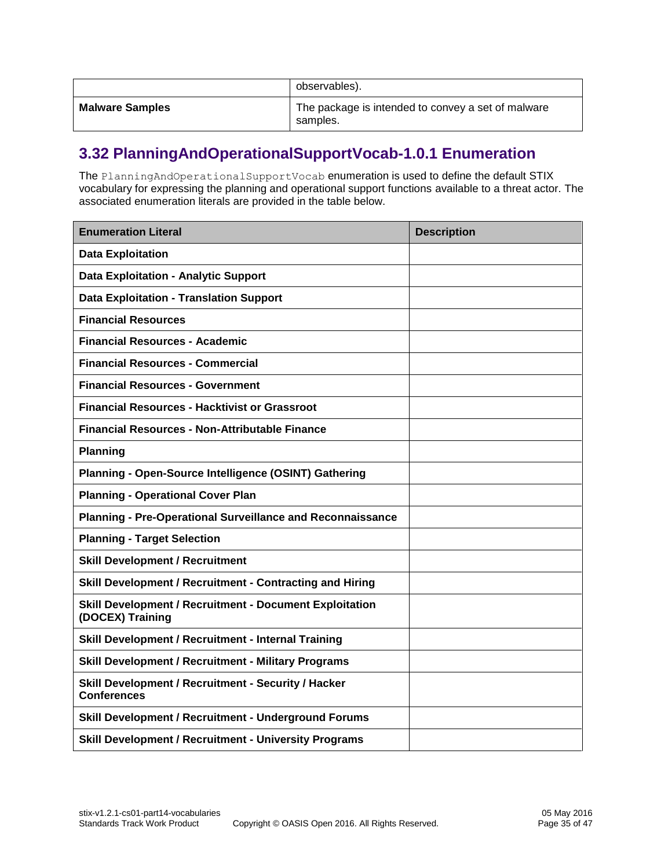|                        | observables).                                                  |
|------------------------|----------------------------------------------------------------|
| <b>Malware Samples</b> | The package is intended to convey a set of malware<br>samples. |

### <span id="page-34-0"></span>**3.32 PlanningAndOperationalSupportVocab-1.0.1 Enumeration**

The PlanningAndOperationalSupportVocab enumeration is used to define the default STIX vocabulary for expressing the planning and operational support functions available to a threat actor. The associated enumeration literals are provided in the table below.

| <b>Enumeration Literal</b>                                                         | <b>Description</b> |
|------------------------------------------------------------------------------------|--------------------|
| <b>Data Exploitation</b>                                                           |                    |
| <b>Data Exploitation - Analytic Support</b>                                        |                    |
| <b>Data Exploitation - Translation Support</b>                                     |                    |
| <b>Financial Resources</b>                                                         |                    |
| <b>Financial Resources - Academic</b>                                              |                    |
| <b>Financial Resources - Commercial</b>                                            |                    |
| <b>Financial Resources - Government</b>                                            |                    |
| <b>Financial Resources - Hacktivist or Grassroot</b>                               |                    |
| <b>Financial Resources - Non-Attributable Finance</b>                              |                    |
| <b>Planning</b>                                                                    |                    |
| Planning - Open-Source Intelligence (OSINT) Gathering                              |                    |
| <b>Planning - Operational Cover Plan</b>                                           |                    |
| <b>Planning - Pre-Operational Surveillance and Reconnaissance</b>                  |                    |
| <b>Planning - Target Selection</b>                                                 |                    |
| <b>Skill Development / Recruitment</b>                                             |                    |
| Skill Development / Recruitment - Contracting and Hiring                           |                    |
| <b>Skill Development / Recruitment - Document Exploitation</b><br>(DOCEX) Training |                    |
| <b>Skill Development / Recruitment - Internal Training</b>                         |                    |
| <b>Skill Development / Recruitment - Military Programs</b>                         |                    |
| Skill Development / Recruitment - Security / Hacker<br><b>Conferences</b>          |                    |
| <b>Skill Development / Recruitment - Underground Forums</b>                        |                    |
| <b>Skill Development / Recruitment - University Programs</b>                       |                    |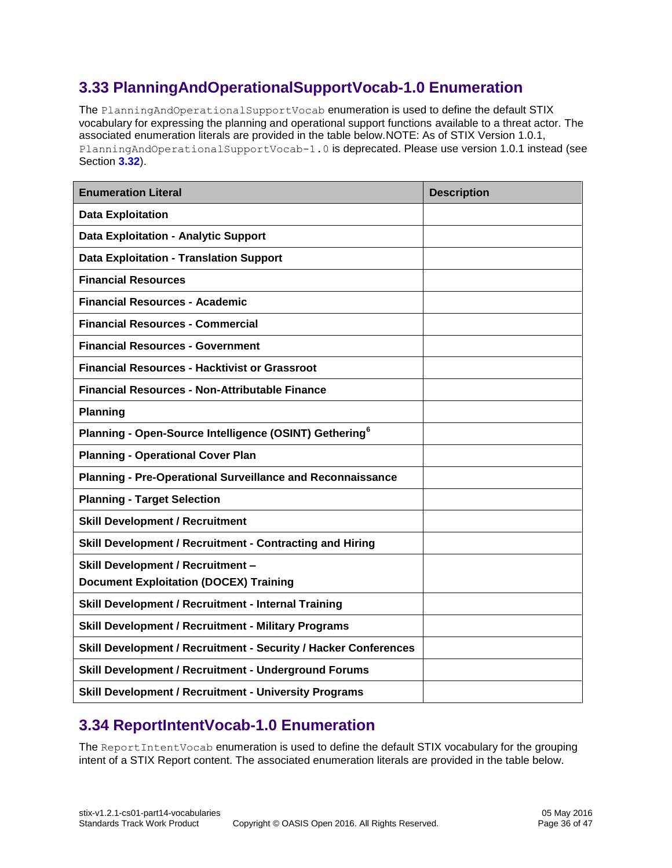### <span id="page-35-0"></span>**3.33 PlanningAndOperationalSupportVocab-1.0 Enumeration**

The PlanningAndOperationalSupportVocab enumeration is used to define the default STIX vocabulary for expressing the planning and operational support functions available to a threat actor. The associated enumeration literals are provided in the table below.NOTE: As of STIX Version 1.0.1, PlanningAndOperationalSupportVocab-1.0 is deprecated. Please use version 1.0.1 instead (see Section **[3.32](#page-34-0)**).

| <b>Enumeration Literal</b>                                         | <b>Description</b> |
|--------------------------------------------------------------------|--------------------|
| <b>Data Exploitation</b>                                           |                    |
| <b>Data Exploitation - Analytic Support</b>                        |                    |
| <b>Data Exploitation - Translation Support</b>                     |                    |
| <b>Financial Resources</b>                                         |                    |
| <b>Financial Resources - Academic</b>                              |                    |
| <b>Financial Resources - Commercial</b>                            |                    |
| <b>Financial Resources - Government</b>                            |                    |
| <b>Financial Resources - Hacktivist or Grassroot</b>               |                    |
| <b>Financial Resources - Non-Attributable Finance</b>              |                    |
| <b>Planning</b>                                                    |                    |
| Planning - Open-Source Intelligence (OSINT) Gethering <sup>6</sup> |                    |
| <b>Planning - Operational Cover Plan</b>                           |                    |
| <b>Planning - Pre-Operational Surveillance and Reconnaissance</b>  |                    |
| <b>Planning - Target Selection</b>                                 |                    |
| <b>Skill Development / Recruitment</b>                             |                    |
| Skill Development / Recruitment - Contracting and Hiring           |                    |
| <b>Skill Development / Recruitment -</b>                           |                    |
| <b>Document Exploitation (DOCEX) Training</b>                      |                    |
| <b>Skill Development / Recruitment - Internal Training</b>         |                    |
| <b>Skill Development / Recruitment - Military Programs</b>         |                    |
| Skill Development / Recruitment - Security / Hacker Conferences    |                    |
| <b>Skill Development / Recruitment - Underground Forums</b>        |                    |
| <b>Skill Development / Recruitment - University Programs</b>       |                    |

#### <span id="page-35-1"></span>**3.34 ReportIntentVocab-1.0 Enumeration**

The ReportIntentVocab enumeration is used to define the default STIX vocabulary for the grouping intent of a STIX Report content. The associated enumeration literals are provided in the table below.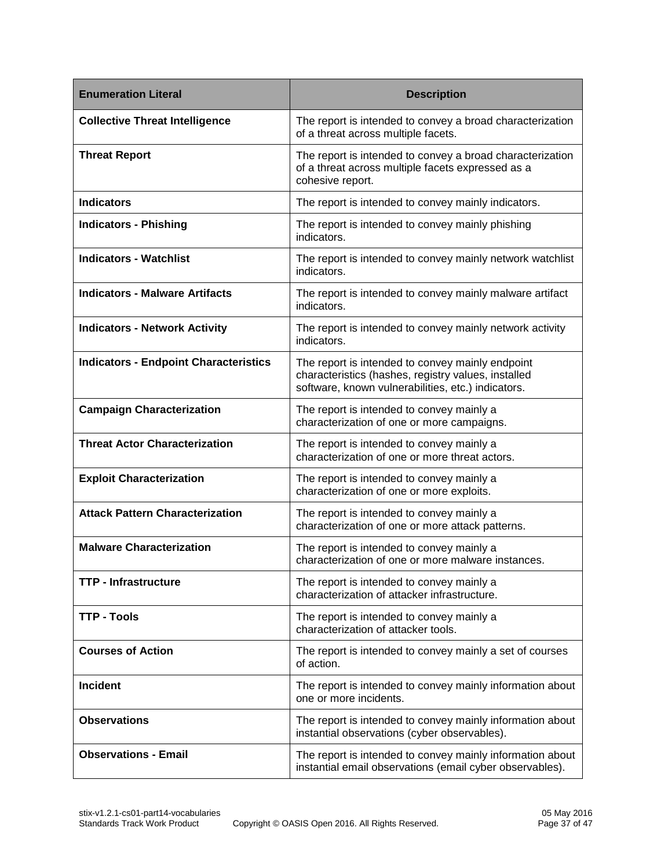| <b>Enumeration Literal</b>                   | <b>Description</b>                                                                                                                                            |
|----------------------------------------------|---------------------------------------------------------------------------------------------------------------------------------------------------------------|
| <b>Collective Threat Intelligence</b>        | The report is intended to convey a broad characterization<br>of a threat across multiple facets.                                                              |
| <b>Threat Report</b>                         | The report is intended to convey a broad characterization<br>of a threat across multiple facets expressed as a<br>cohesive report.                            |
| <b>Indicators</b>                            | The report is intended to convey mainly indicators.                                                                                                           |
| <b>Indicators - Phishing</b>                 | The report is intended to convey mainly phishing<br>indicators.                                                                                               |
| <b>Indicators - Watchlist</b>                | The report is intended to convey mainly network watchlist<br>indicators.                                                                                      |
| <b>Indicators - Malware Artifacts</b>        | The report is intended to convey mainly malware artifact<br>indicators.                                                                                       |
| <b>Indicators - Network Activity</b>         | The report is intended to convey mainly network activity<br>indicators.                                                                                       |
| <b>Indicators - Endpoint Characteristics</b> | The report is intended to convey mainly endpoint<br>characteristics (hashes, registry values, installed<br>software, known vulnerabilities, etc.) indicators. |
| <b>Campaign Characterization</b>             | The report is intended to convey mainly a<br>characterization of one or more campaigns.                                                                       |
| <b>Threat Actor Characterization</b>         | The report is intended to convey mainly a<br>characterization of one or more threat actors.                                                                   |
| <b>Exploit Characterization</b>              | The report is intended to convey mainly a<br>characterization of one or more exploits.                                                                        |
| <b>Attack Pattern Characterization</b>       | The report is intended to convey mainly a<br>characterization of one or more attack patterns.                                                                 |
| <b>Malware Characterization</b>              | The report is intended to convey mainly a<br>characterization of one or more malware instances.                                                               |
| <b>TTP - Infrastructure</b>                  | The report is intended to convey mainly a<br>characterization of attacker infrastructure.                                                                     |
| <b>TTP - Tools</b>                           | The report is intended to convey mainly a<br>characterization of attacker tools.                                                                              |
| <b>Courses of Action</b>                     | The report is intended to convey mainly a set of courses<br>of action.                                                                                        |
| <b>Incident</b>                              | The report is intended to convey mainly information about<br>one or more incidents.                                                                           |
| <b>Observations</b>                          | The report is intended to convey mainly information about<br>instantial observations (cyber observables).                                                     |
| <b>Observations - Email</b>                  | The report is intended to convey mainly information about<br>instantial email observations (email cyber observables).                                         |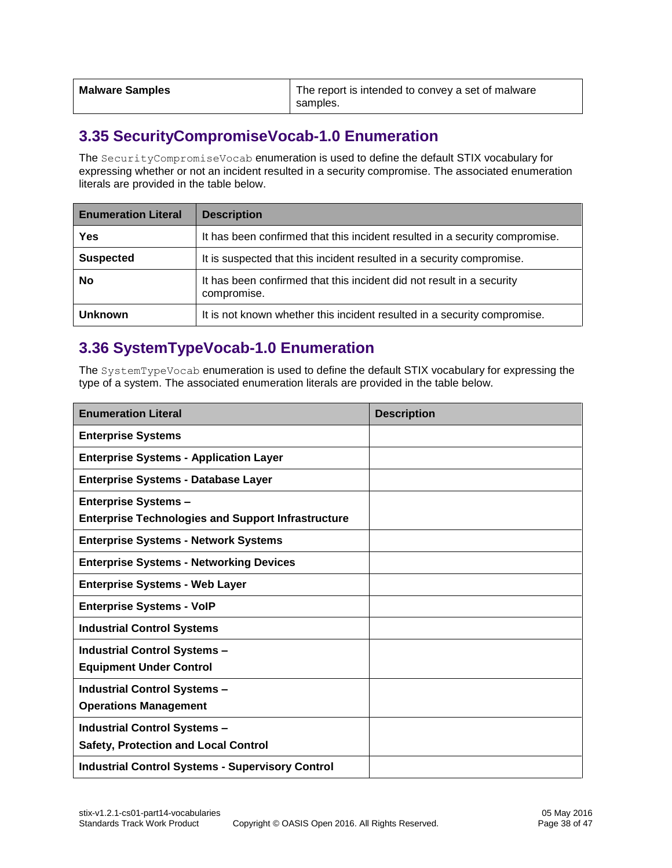| <b>Malware Samples</b> | The report is intended to convey a set of malware |
|------------------------|---------------------------------------------------|
|                        | samples.                                          |

#### <span id="page-37-0"></span>**3.35 SecurityCompromiseVocab-1.0 Enumeration**

The SecurityCompromiseVocab enumeration is used to define the default STIX vocabulary for expressing whether or not an incident resulted in a security compromise. The associated enumeration literals are provided in the table below.

| <b>Enumeration Literal</b> | <b>Description</b>                                                                   |
|----------------------------|--------------------------------------------------------------------------------------|
| Yes                        | It has been confirmed that this incident resulted in a security compromise.          |
| <b>Suspected</b>           | It is suspected that this incident resulted in a security compromise.                |
| No                         | It has been confirmed that this incident did not result in a security<br>compromise. |
| <b>Unknown</b>             | It is not known whether this incident resulted in a security compromise.             |

### <span id="page-37-1"></span>**3.36 SystemTypeVocab-1.0 Enumeration**

The SystemTypeVocab enumeration is used to define the default STIX vocabulary for expressing the type of a system. The associated enumeration literals are provided in the table below.

| <b>Enumeration Literal</b>                                | <b>Description</b> |
|-----------------------------------------------------------|--------------------|
| <b>Enterprise Systems</b>                                 |                    |
| <b>Enterprise Systems - Application Layer</b>             |                    |
| <b>Enterprise Systems - Database Layer</b>                |                    |
| <b>Enterprise Systems -</b>                               |                    |
| <b>Enterprise Technologies and Support Infrastructure</b> |                    |
| <b>Enterprise Systems - Network Systems</b>               |                    |
| <b>Enterprise Systems - Networking Devices</b>            |                    |
| <b>Enterprise Systems - Web Layer</b>                     |                    |
| <b>Enterprise Systems - VoIP</b>                          |                    |
| <b>Industrial Control Systems</b>                         |                    |
| <b>Industrial Control Systems -</b>                       |                    |
| <b>Equipment Under Control</b>                            |                    |
| <b>Industrial Control Systems -</b>                       |                    |
| <b>Operations Management</b>                              |                    |
| <b>Industrial Control Systems -</b>                       |                    |
| <b>Safety, Protection and Local Control</b>               |                    |
| <b>Industrial Control Systems - Supervisory Control</b>   |                    |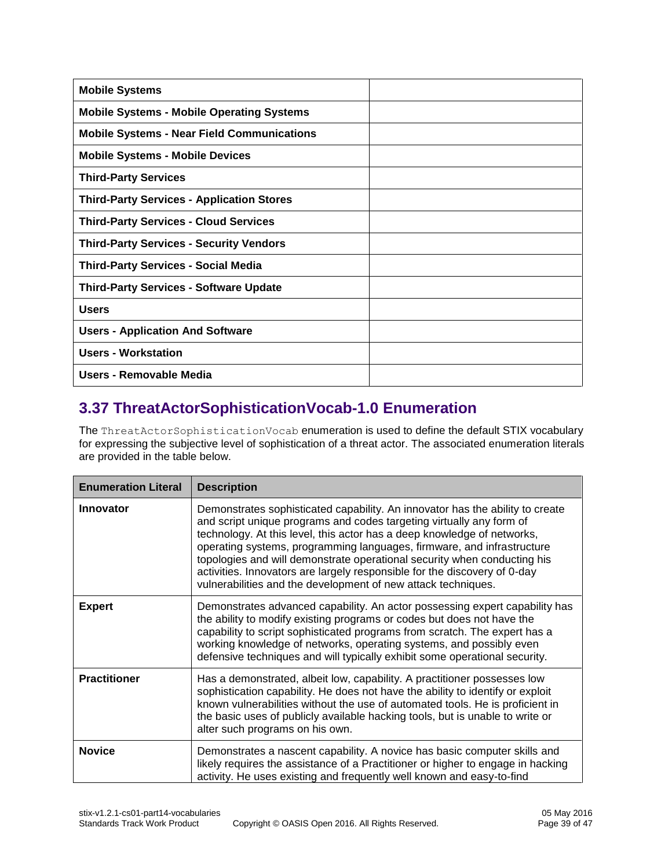| <b>Mobile Systems</b>                             |  |
|---------------------------------------------------|--|
| <b>Mobile Systems - Mobile Operating Systems</b>  |  |
| <b>Mobile Systems - Near Field Communications</b> |  |
| <b>Mobile Systems - Mobile Devices</b>            |  |
| <b>Third-Party Services</b>                       |  |
| <b>Third-Party Services - Application Stores</b>  |  |
| <b>Third-Party Services - Cloud Services</b>      |  |
| <b>Third-Party Services - Security Vendors</b>    |  |
| <b>Third-Party Services - Social Media</b>        |  |
| <b>Third-Party Services - Software Update</b>     |  |
| <b>Users</b>                                      |  |
| <b>Users - Application And Software</b>           |  |
| <b>Users - Workstation</b>                        |  |
| Users - Removable Media                           |  |

### <span id="page-38-0"></span>**3.37 ThreatActorSophisticationVocab-1.0 Enumeration**

The ThreatActorSophisticationVocab enumeration is used to define the default STIX vocabulary for expressing the subjective level of sophistication of a threat actor. The associated enumeration literals are provided in the table below.

| <b>Enumeration Literal</b> | <b>Description</b>                                                                                                                                                                                                                                                                                                                                                                                                                                                                                                                   |
|----------------------------|--------------------------------------------------------------------------------------------------------------------------------------------------------------------------------------------------------------------------------------------------------------------------------------------------------------------------------------------------------------------------------------------------------------------------------------------------------------------------------------------------------------------------------------|
| Innovator                  | Demonstrates sophisticated capability. An innovator has the ability to create<br>and script unique programs and codes targeting virtually any form of<br>technology. At this level, this actor has a deep knowledge of networks,<br>operating systems, programming languages, firmware, and infrastructure<br>topologies and will demonstrate operational security when conducting his<br>activities. Innovators are largely responsible for the discovery of 0-day<br>vulnerabilities and the development of new attack techniques. |
| <b>Expert</b>              | Demonstrates advanced capability. An actor possessing expert capability has<br>the ability to modify existing programs or codes but does not have the<br>capability to script sophisticated programs from scratch. The expert has a<br>working knowledge of networks, operating systems, and possibly even<br>defensive techniques and will typically exhibit some operational security.                                                                                                                                             |
| <b>Practitioner</b>        | Has a demonstrated, albeit low, capability. A practitioner possesses low<br>sophistication capability. He does not have the ability to identify or exploit<br>known vulnerabilities without the use of automated tools. He is proficient in<br>the basic uses of publicly available hacking tools, but is unable to write or<br>alter such programs on his own.                                                                                                                                                                      |
| <b>Novice</b>              | Demonstrates a nascent capability. A novice has basic computer skills and<br>likely requires the assistance of a Practitioner or higher to engage in hacking<br>activity. He uses existing and frequently well known and easy-to-find                                                                                                                                                                                                                                                                                                |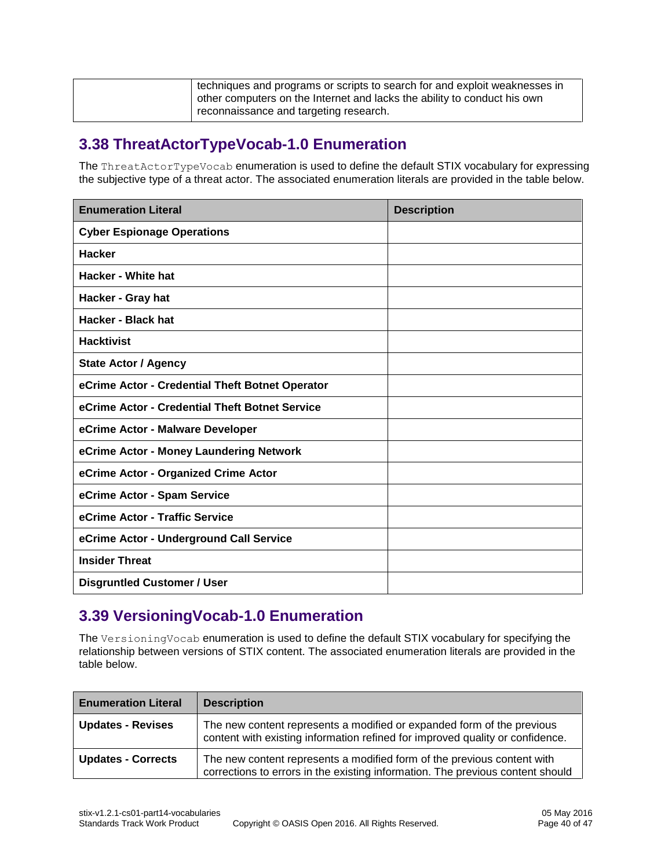| techniques and programs or scripts to search for and exploit weaknesses in |
|----------------------------------------------------------------------------|
| other computers on the Internet and lacks the ability to conduct his own   |
| reconnaissance and targeting research.                                     |

#### <span id="page-39-0"></span>**3.38 ThreatActorTypeVocab-1.0 Enumeration**

The ThreatActorTypeVocab enumeration is used to define the default STIX vocabulary for expressing the subjective type of a threat actor. The associated enumeration literals are provided in the table below.

| <b>Enumeration Literal</b>                      | <b>Description</b> |
|-------------------------------------------------|--------------------|
| <b>Cyber Espionage Operations</b>               |                    |
| <b>Hacker</b>                                   |                    |
| <b>Hacker - White hat</b>                       |                    |
| Hacker - Gray hat                               |                    |
| <b>Hacker - Black hat</b>                       |                    |
| <b>Hacktivist</b>                               |                    |
| <b>State Actor / Agency</b>                     |                    |
| eCrime Actor - Credential Theft Botnet Operator |                    |
| eCrime Actor - Credential Theft Botnet Service  |                    |
| eCrime Actor - Malware Developer                |                    |
| eCrime Actor - Money Laundering Network         |                    |
| eCrime Actor - Organized Crime Actor            |                    |
| eCrime Actor - Spam Service                     |                    |
| eCrime Actor - Traffic Service                  |                    |
| eCrime Actor - Underground Call Service         |                    |
| <b>Insider Threat</b>                           |                    |
| <b>Disgruntled Customer / User</b>              |                    |

### <span id="page-39-1"></span>**3.39 VersioningVocab-1.0 Enumeration**

The VersioningVocab enumeration is used to define the default STIX vocabulary for specifying the relationship between versions of STIX content. The associated enumeration literals are provided in the table below.

| <b>Enumeration Literal</b> | <b>Description</b>                                                                                                                                        |
|----------------------------|-----------------------------------------------------------------------------------------------------------------------------------------------------------|
| <b>Updates - Revises</b>   | The new content represents a modified or expanded form of the previous<br>content with existing information refined for improved quality or confidence.   |
| <b>Updates - Corrects</b>  | The new content represents a modified form of the previous content with<br>corrections to errors in the existing information. The previous content should |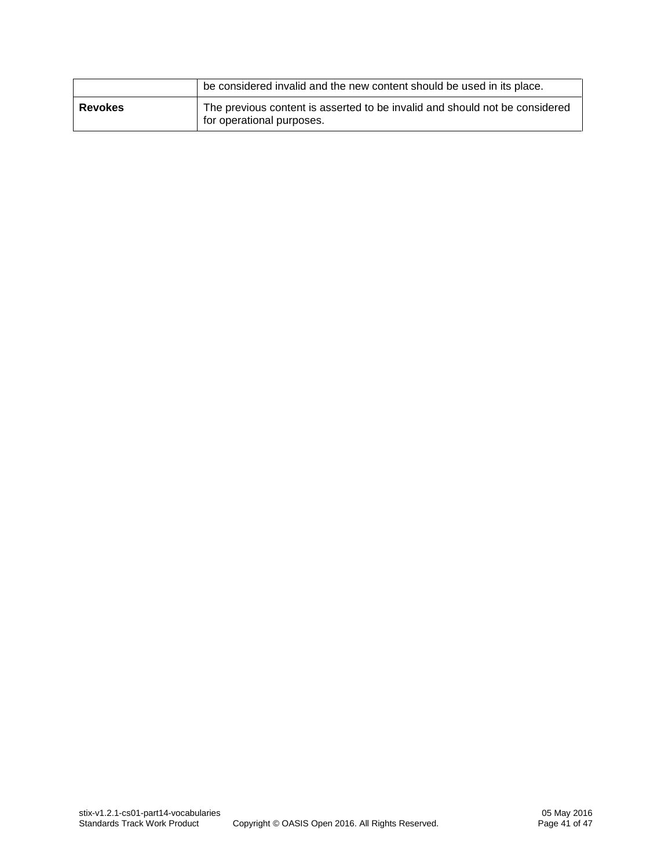|         | be considered invalid and the new content should be used in its place.                                   |
|---------|----------------------------------------------------------------------------------------------------------|
| Revokes | The previous content is asserted to be invalid and should not be considered<br>for operational purposes. |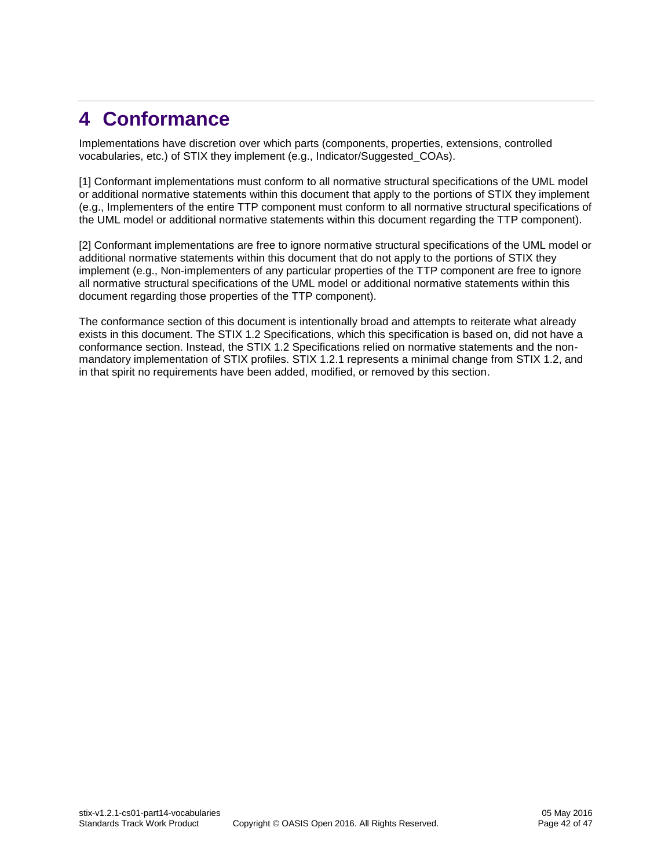# <span id="page-41-0"></span>**4 Conformance**

Implementations have discretion over which parts (components, properties, extensions, controlled vocabularies, etc.) of STIX they implement (e.g., Indicator/Suggested\_COAs).

[1] Conformant implementations must conform to all normative structural specifications of the UML model or additional normative statements within this document that apply to the portions of STIX they implement (e.g., Implementers of the entire TTP component must conform to all normative structural specifications of the UML model or additional normative statements within this document regarding the TTP component).

[2] Conformant implementations are free to ignore normative structural specifications of the UML model or additional normative statements within this document that do not apply to the portions of STIX they implement (e.g., Non-implementers of any particular properties of the TTP component are free to ignore all normative structural specifications of the UML model or additional normative statements within this document regarding those properties of the TTP component).

The conformance section of this document is intentionally broad and attempts to reiterate what already exists in this document. The STIX 1.2 Specifications, which this specification is based on, did not have a conformance section. Instead, the STIX 1.2 Specifications relied on normative statements and the nonmandatory implementation of STIX profiles. STIX 1.2.1 represents a minimal change from STIX 1.2, and in that spirit no requirements have been added, modified, or removed by this section.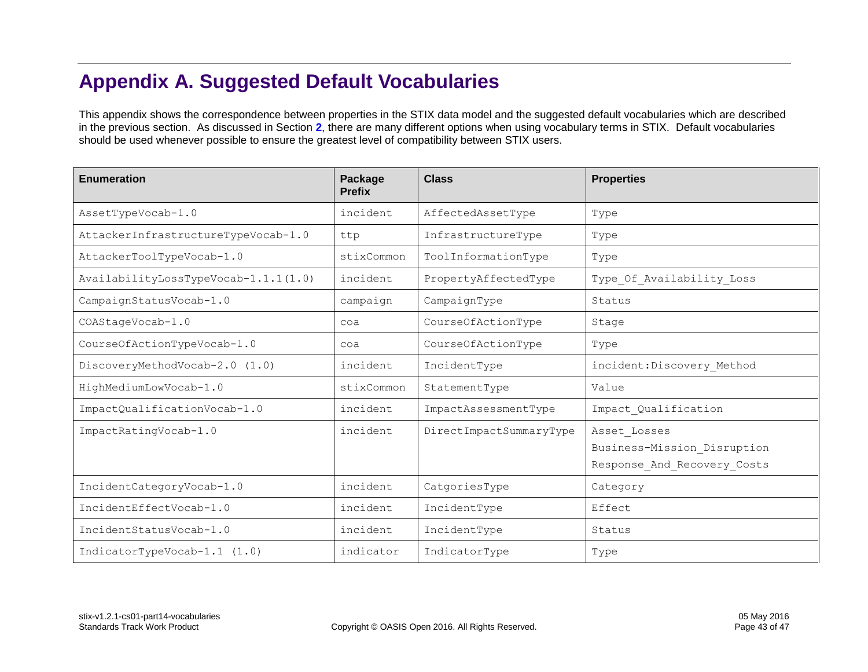# **Appendix A. Suggested Default Vocabularies**

This appendix shows the correspondence between properties in the STIX data model and the suggested default vocabularies which are described in the previous section. As discussed in Section **[2](#page-11-1)**, there are many different options when using vocabulary terms in STIX. Default vocabularies should be used whenever possible to ensure the greatest level of compatibility between STIX users.

<span id="page-42-0"></span>

| <b>Enumeration</b>                   | Package<br><b>Prefix</b> | <b>Class</b>            | <b>Properties</b>                                                          |
|--------------------------------------|--------------------------|-------------------------|----------------------------------------------------------------------------|
| AssetTypeVocab-1.0                   | incident.                | AffectedAssetType       | Type                                                                       |
| AttackerInfrastructureTypeVocab-1.0  | ttp                      | InfrastructureType      | Type                                                                       |
| AttackerToolTypeVocab-1.0            | stixCommon               | ToolInformationType     | Type                                                                       |
| AvailabilityLossTypeVocab-1.1.1(1.0) | incident                 | PropertyAffectedType    | Type Of Availability Loss                                                  |
| CampaignStatusVocab-1.0              | campaign                 | CampaignType            | Status                                                                     |
| COAStageVocab-1.0                    | $\cos$                   | CourseOfActionType      | Stage                                                                      |
| CourseOfActionTypeVocab-1.0          | coa                      | CourseOfActionType      | Type                                                                       |
| DiscoveryMethodVocab-2.0 (1.0)       | incident                 | IncidentType            | incident: Discovery Method                                                 |
| HighMediumLowVocab-1.0               | stixCommon               | StatementType           | Value                                                                      |
| ImpactQualificationVocab-1.0         | incident.                | ImpactAssessmentType    | Impact Qualification                                                       |
| ImpactRatingVocab-1.0                | incident                 | DirectImpactSummaryType | Asset Losses<br>Business-Mission Disruption<br>Response_And_Recovery_Costs |
| IncidentCategoryVocab-1.0            | incident                 | CatgoriesType           | Category                                                                   |
| IncidentEffectVocab-1.0              | incident                 | IncidentType            | Effect                                                                     |
| IncidentStatusVocab-1.0              | incident                 | IncidentType            | Status                                                                     |
| IndicatorTypeVocab-1.1 (1.0)         | indicator                | IndicatorType           | Type                                                                       |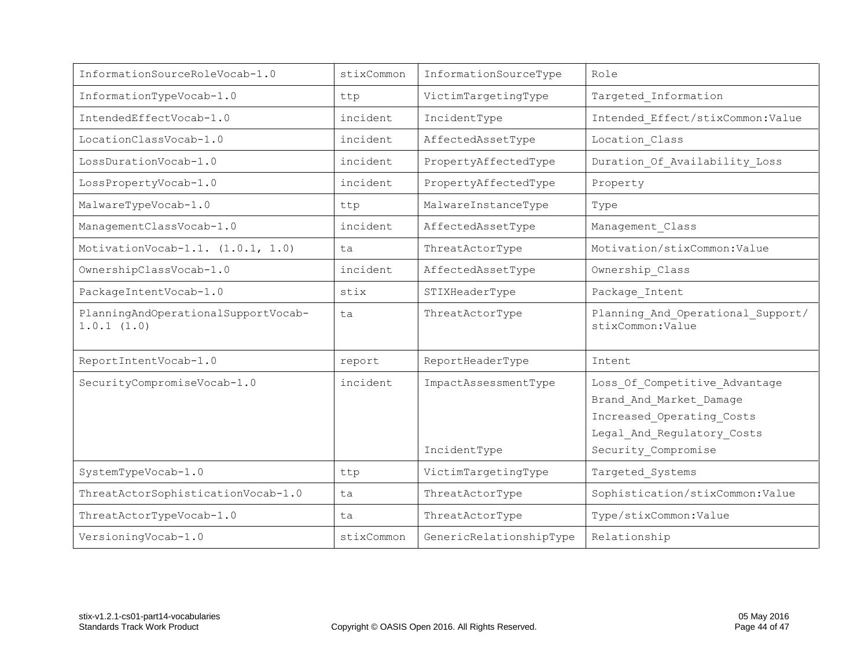| InformationSourceRoleVocab-1.0                    | stixCommon | InformationSourceType                | Role                                                                                                                                       |
|---------------------------------------------------|------------|--------------------------------------|--------------------------------------------------------------------------------------------------------------------------------------------|
| InformationTypeVocab-1.0                          | ttp        | VictimTargetingType                  | Targeted_Information                                                                                                                       |
| IntendedEffectVocab-1.0                           | incident   | IncidentType                         | Intended_Effect/stixCommon:Value                                                                                                           |
| LocationClassVocab-1.0                            | incident   | AffectedAssetType                    | Location Class                                                                                                                             |
| LossDurationVocab-1.0                             | incident   | PropertyAffectedType                 | Duration Of Availability Loss                                                                                                              |
| LossPropertyVocab-1.0                             | incident   | PropertyAffectedType                 | Property                                                                                                                                   |
| MalwareTypeVocab-1.0                              | ttp        | MalwareInstanceType                  | Type                                                                                                                                       |
| ManagementClassVocab-1.0                          | incident   | AffectedAssetType                    | Management Class                                                                                                                           |
| MotivationVocab-1.1. (1.0.1, 1.0)                 | ta         | ThreatActorType                      | Motivation/stixCommon:Value                                                                                                                |
| OwnershipClassVocab-1.0                           | incident   | AffectedAssetType                    | Ownership Class                                                                                                                            |
| PackageIntentVocab-1.0                            | stix       | STIXHeaderType                       | Package Intent                                                                                                                             |
| PlanningAndOperationalSupportVocab-<br>1.0.1(1.0) | ta         | ThreatActorType                      | Planning And Operational Support/<br>stixCommon: Value                                                                                     |
| ReportIntentVocab-1.0                             | report     | ReportHeaderType                     | Intent                                                                                                                                     |
| SecurityCompromiseVocab-1.0                       | incident   | ImpactAssessmentType<br>IncidentType | Loss Of Competitive Advantage<br>Brand And Market Damage<br>Increased Operating Costs<br>Legal And Regulatory Costs<br>Security Compromise |
| SystemTypeVocab-1.0                               | ttp        | VictimTargetingType                  | Targeted Systems                                                                                                                           |
| ThreatActorSophisticationVocab-1.0                | ta         | ThreatActorType                      | Sophistication/stixCommon:Value                                                                                                            |
| ThreatActorTypeVocab-1.0                          | ta         | ThreatActorType                      | Type/stixCommon:Value                                                                                                                      |
| VersioningVocab-1.0                               | stixCommon | GenericRelationshipType              | Relationship                                                                                                                               |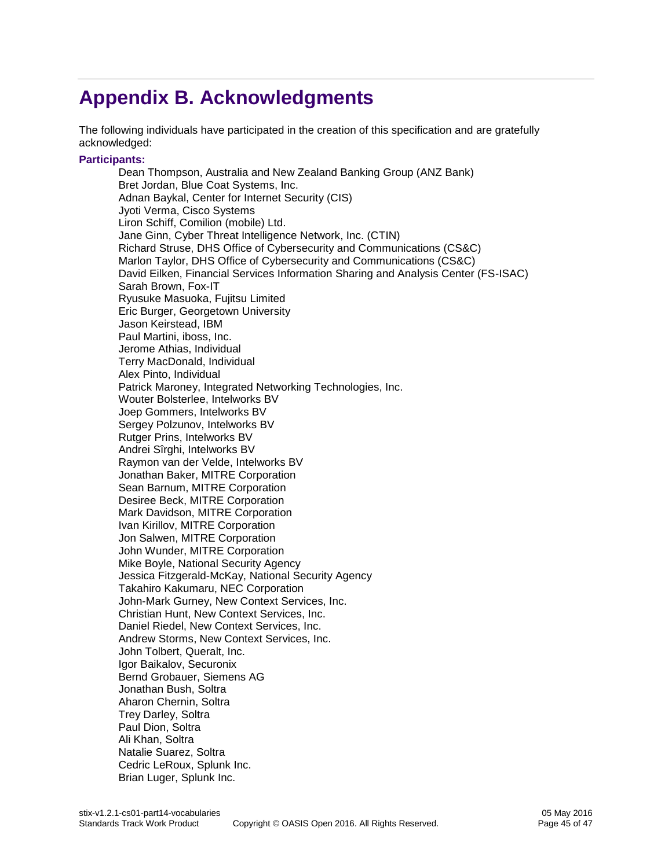# <span id="page-44-0"></span>**Appendix B. Acknowledgments**

The following individuals have participated in the creation of this specification and are gratefully acknowledged:

#### **Participants:**

Dean Thompson, Australia and New Zealand Banking Group (ANZ Bank) Bret Jordan, Blue Coat Systems, Inc. Adnan Baykal, Center for Internet Security (CIS) Jyoti Verma, Cisco Systems Liron Schiff, Comilion (mobile) Ltd. Jane Ginn, Cyber Threat Intelligence Network, Inc. (CTIN) Richard Struse, DHS Office of Cybersecurity and Communications (CS&C) Marlon Taylor, DHS Office of Cybersecurity and Communications (CS&C) David Eilken, Financial Services Information Sharing and Analysis Center (FS-ISAC) Sarah Brown, Fox-IT Ryusuke Masuoka, Fujitsu Limited Eric Burger, Georgetown University Jason Keirstead, IBM Paul Martini, iboss, Inc. Jerome Athias, Individual Terry MacDonald, Individual Alex Pinto, Individual Patrick Maroney, Integrated Networking Technologies, Inc. Wouter Bolsterlee, Intelworks BV Joep Gommers, Intelworks BV Sergey Polzunov, Intelworks BV Rutger Prins, Intelworks BV Andrei Sîrghi, Intelworks BV Raymon van der Velde, Intelworks BV Jonathan Baker, MITRE Corporation Sean Barnum, MITRE Corporation Desiree Beck, MITRE Corporation Mark Davidson, MITRE Corporation Ivan Kirillov, MITRE Corporation Jon Salwen, MITRE Corporation John Wunder, MITRE Corporation Mike Boyle, National Security Agency Jessica Fitzgerald-McKay, National Security Agency Takahiro Kakumaru, NEC Corporation John-Mark Gurney, New Context Services, Inc. Christian Hunt, New Context Services, Inc. Daniel Riedel, New Context Services, Inc. Andrew Storms, New Context Services, Inc. John Tolbert, Queralt, Inc. Igor Baikalov, Securonix Bernd Grobauer, Siemens AG Jonathan Bush, Soltra Aharon Chernin, Soltra Trey Darley, Soltra Paul Dion, Soltra Ali Khan, Soltra Natalie Suarez, Soltra Cedric LeRoux, Splunk Inc. Brian Luger, Splunk Inc.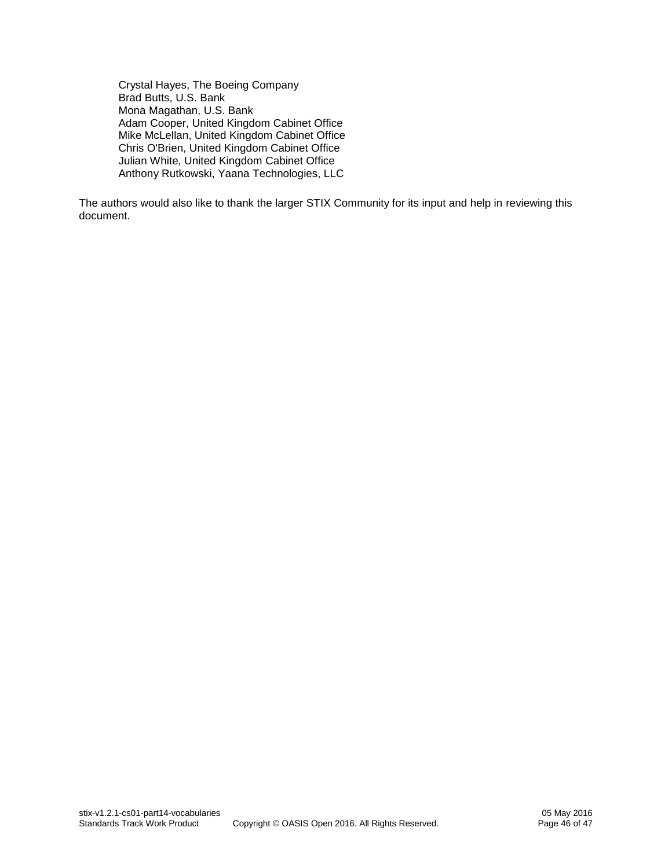Crystal Hayes, The Boeing Company Brad Butts, U.S. Bank Mona Magathan, U.S. Bank Adam Cooper, United Kingdom Cabinet Office Mike McLellan, United Kingdom Cabinet Office Chris O'Brien, United Kingdom Cabinet Office Julian White, United Kingdom Cabinet Office Anthony Rutkowski, Yaana Technologies, LLC

The authors would also like to thank the larger STIX Community for its input and help in reviewing this document.